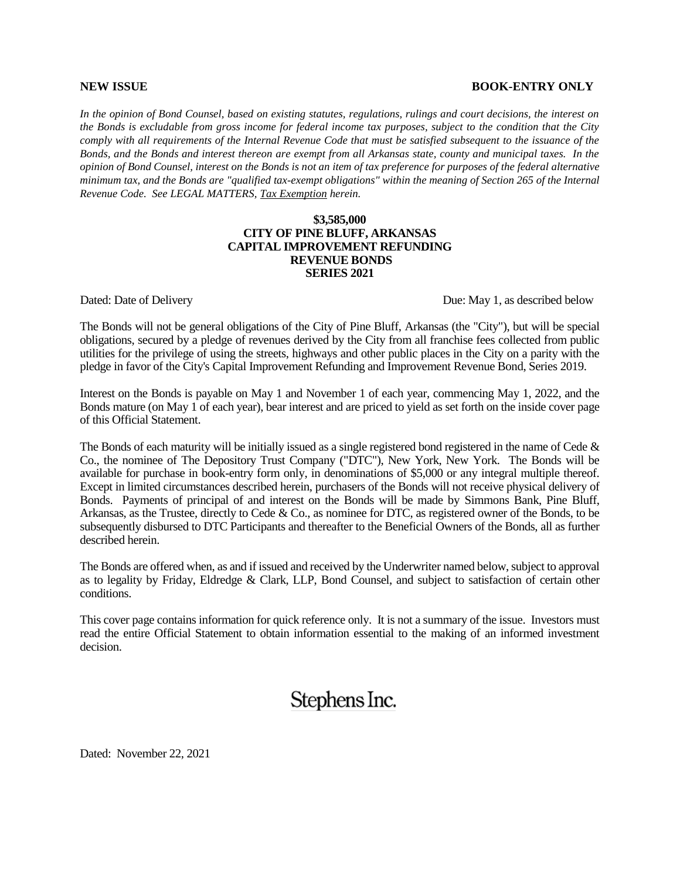#### **NEW ISSUE BOOK-ENTRY ONLY**

*In the opinion of Bond Counsel, based on existing statutes, regulations, rulings and court decisions, the interest on the Bonds is excludable from gross income for federal income tax purposes, subject to the condition that the City comply with all requirements of the Internal Revenue Code that must be satisfied subsequent to the issuance of the Bonds, and the Bonds and interest thereon are exempt from all Arkansas state, county and municipal taxes. In the opinion of Bond Counsel, interest on the Bonds is not an item of tax preference for purposes of the federal alternative minimum tax, and the Bonds are "qualified tax-exempt obligations" within the meaning of Section 265 of the Internal Revenue Code. See LEGAL MATTERS, Tax Exemption herein.*

#### **\$3,585,000 CITY OF PINE BLUFF, ARKANSAS CAPITAL IMPROVEMENT REFUNDING REVENUE BONDS SERIES 2021**

Dated: Date of Delivery Due: May 1, as described below

The Bonds will not be general obligations of the City of Pine Bluff, Arkansas (the "City"), but will be special obligations, secured by a pledge of revenues derived by the City from all franchise fees collected from public utilities for the privilege of using the streets, highways and other public places in the City on a parity with the pledge in favor of the City's Capital Improvement Refunding and Improvement Revenue Bond, Series 2019.

Interest on the Bonds is payable on May 1 and November 1 of each year, commencing May 1, 2022, and the Bonds mature (on May 1 of each year), bear interest and are priced to yield as set forth on the inside cover page of this Official Statement.

The Bonds of each maturity will be initially issued as a single registered bond registered in the name of Cede  $\&$ Co., the nominee of The Depository Trust Company ("DTC"), New York, New York. The Bonds will be available for purchase in book-entry form only, in denominations of \$5,000 or any integral multiple thereof. Except in limited circumstances described herein, purchasers of the Bonds will not receive physical delivery of Bonds. Payments of principal of and interest on the Bonds will be made by Simmons Bank, Pine Bluff, Arkansas, as the Trustee, directly to Cede & Co., as nominee for DTC, as registered owner of the Bonds, to be subsequently disbursed to DTC Participants and thereafter to the Beneficial Owners of the Bonds, all as further described herein.

The Bonds are offered when, as and if issued and received by the Underwriter named below, subject to approval as to legality by Friday, Eldredge & Clark, LLP, Bond Counsel, and subject to satisfaction of certain other conditions.

This cover page contains information for quick reference only. It is not a summary of the issue. Investors must read the entire Official Statement to obtain information essential to the making of an informed investment decision.

# Stephens Inc.

Dated: November 22, 2021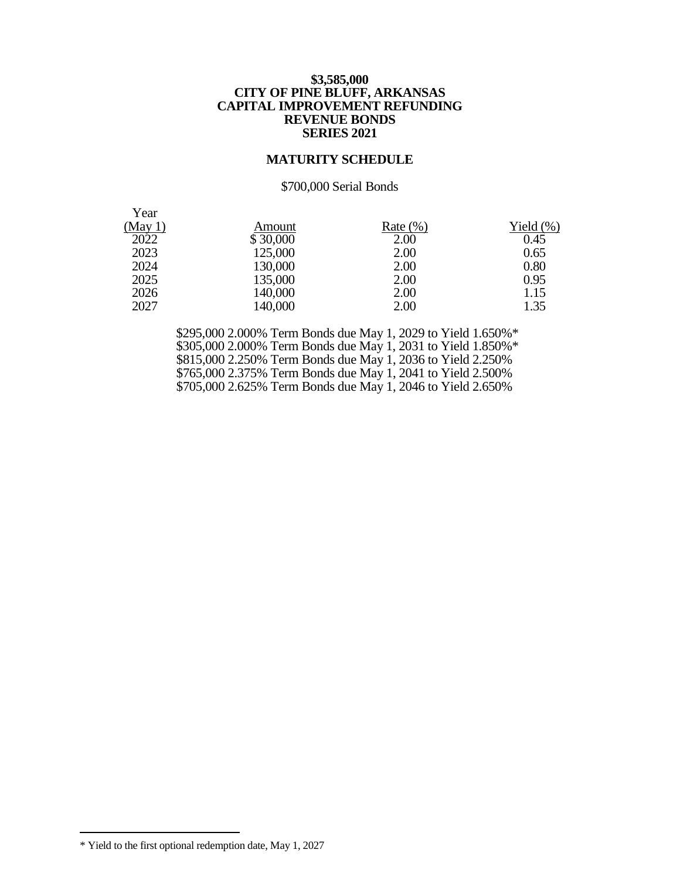#### **\$3,585,000 CITY OF PINE BLUFF, ARKANSAS CAPITAL IMPROVEMENT REFUNDING REVENUE BONDS SERIES 2021**

#### **MATURITY SCHEDULE**

#### \$700,000 Serial Bonds

| Year    |          |              |              |
|---------|----------|--------------|--------------|
| (May 1) | Amount   | Rate $(\% )$ | Yield $(\%)$ |
| 2022    | \$30,000 | 2.00         | 0.45         |
| 2023    | 125,000  | 2.00         | 0.65         |
| 2024    | 130,000  | 2.00         | 0.80         |
| 2025    | 135,000  | 2.00         | 0.95         |
| 2026    | 140,000  | 2.00         | 1.15         |
| 2027    | 140,000  | 2.00         | 1.35         |

 \$295,000 2.000% Term Bonds due May 1, 2029 to Yield 1.650%\* \$305,000 2.000% Term Bonds due May 1, 2031 to Yield 1.850%\* \$815,000 2.250% Term Bonds due May 1, 2036 to Yield 2.250% \$765,000 2.375% Term Bonds due May 1, 2041 to Yield 2.500% \$705,000 2.625% Term Bonds due May 1, 2046 to Yield 2.650%

 $\overline{a}$ 

<sup>\*</sup> Yield to the first optional redemption date, May 1, 2027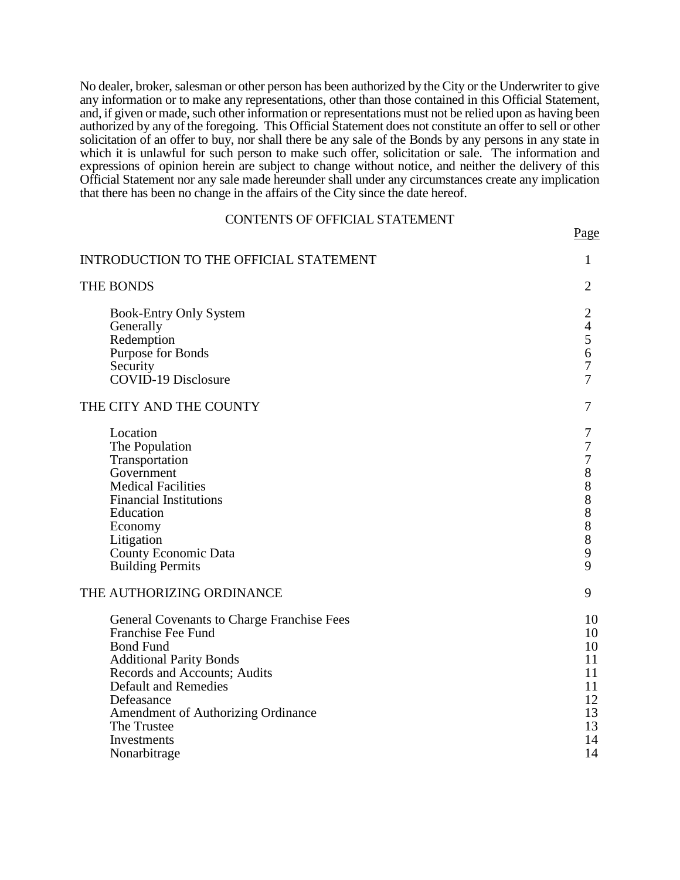No dealer, broker, salesman or other person has been authorized by the City or the Underwriter to give any information or to make any representations, other than those contained in this Official Statement, and, if given or made, such other information or representations must not be relied upon as having been authorized by any of the foregoing. This Official Statement does not constitute an offer to sell or other solicitation of an offer to buy, nor shall there be any sale of the Bonds by any persons in any state in which it is unlawful for such person to make such offer, solicitation or sale. The information and expressions of opinion herein are subject to change without notice, and neither the delivery of this Official Statement nor any sale made hereunder shall under any circumstances create any implication that there has been no change in the affairs of the City since the date hereof.

#### CONTENTS OF OFFICIAL STATEMENT

Page

INTRODUCTION TO THE OFFICIAL STATEMENT  $1$ THE BONDS 2 Book-Entry Only System 2 Generally 4 Redemption 5 Purpose for Bonds 6<br>Security 7 Security 7 COVID-19 Disclosure 7 THE CITY AND THE COUNTY 7 Location 7 The Population 7<br>Transportation 7 Transportation 7<br>Government 8 Government 8<br>Medical Facilities 8 Medical Facilities 8<br>
Financial Institutions 8 Financial Institutions 8<br>Education 8 Education 8 Economy 8 Litigation 8 County Economic Data 9 Building Permits THE AUTHORIZING ORDINANCE 9 General Covenants to Charge Franchise Fees 10 Franchise Fee Fund 10 Bond Fund 10<br>Additional Parity Bonds 11 Additional Parity Bonds<br>
Records and Accounts: Audits
11 Records and Accounts; Audits Default and Remedies 11<br>Defeasance 12 Defeasance 12 Amendment of Authorizing Ordinance 13<br>The Trustee 13 The Trustee 13<br>Investments 14 Investments 14<br>Nonarbitrage 14 Nonarbitrage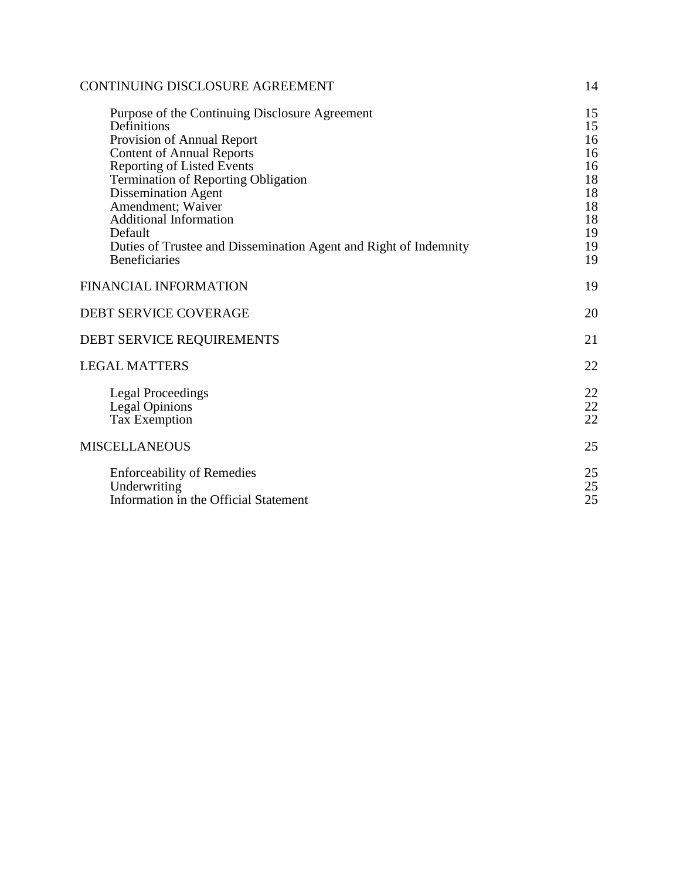| CONTINUING DISCLOSURE AGREEMENT                                                                                                                                                                                                                                                                                                                                                                               |                                                                      |
|---------------------------------------------------------------------------------------------------------------------------------------------------------------------------------------------------------------------------------------------------------------------------------------------------------------------------------------------------------------------------------------------------------------|----------------------------------------------------------------------|
| Purpose of the Continuing Disclosure Agreement<br>Definitions<br>Provision of Annual Report<br><b>Content of Annual Reports</b><br><b>Reporting of Listed Events</b><br><b>Termination of Reporting Obligation</b><br><b>Dissemination Agent</b><br>Amendment; Waiver<br><b>Additional Information</b><br>Default<br>Duties of Trustee and Dissemination Agent and Right of Indemnity<br><b>Beneficiaries</b> | 15<br>15<br>16<br>16<br>16<br>18<br>18<br>18<br>18<br>19<br>19<br>19 |
| <b>FINANCIAL INFORMATION</b>                                                                                                                                                                                                                                                                                                                                                                                  | 19                                                                   |
| <b>DEBT SERVICE COVERAGE</b>                                                                                                                                                                                                                                                                                                                                                                                  | 20                                                                   |
| DEBT SERVICE REQUIREMENTS                                                                                                                                                                                                                                                                                                                                                                                     | 21                                                                   |
| <b>LEGAL MATTERS</b>                                                                                                                                                                                                                                                                                                                                                                                          | 22                                                                   |
| <b>Legal Proceedings</b><br><b>Legal Opinions</b><br><b>Tax Exemption</b>                                                                                                                                                                                                                                                                                                                                     | 22<br>22<br>22                                                       |
| <b>MISCELLANEOUS</b>                                                                                                                                                                                                                                                                                                                                                                                          | 25                                                                   |
| <b>Enforceability of Remedies</b><br>Underwriting<br>Information in the Official Statement                                                                                                                                                                                                                                                                                                                    | 25<br>25<br>25                                                       |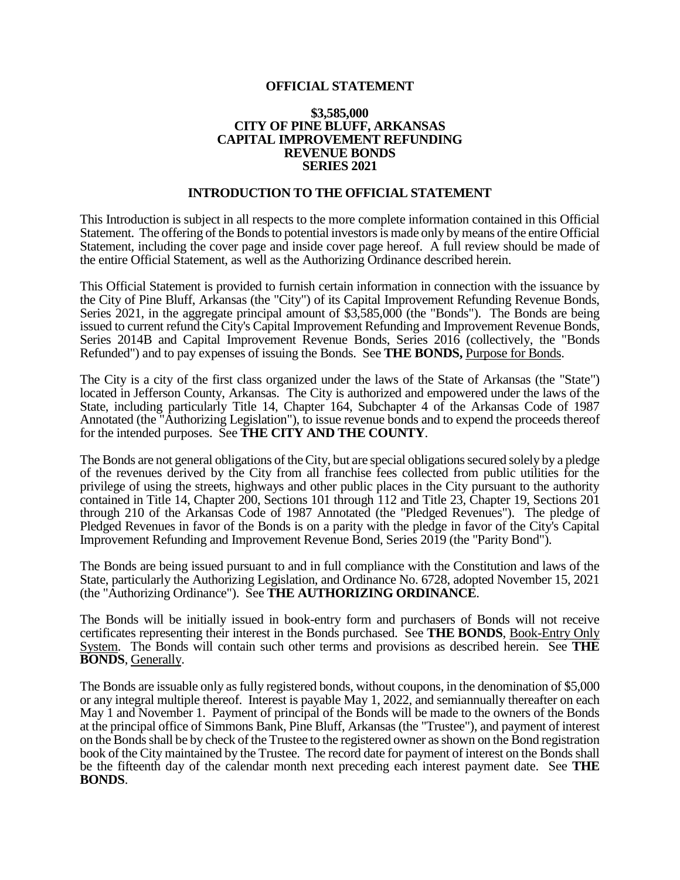#### **OFFICIAL STATEMENT**

#### **\$3,585,000 CITY OF PINE BLUFF, ARKANSAS CAPITAL IMPROVEMENT REFUNDING REVENUE BONDS SERIES 2021**

#### **INTRODUCTION TO THE OFFICIAL STATEMENT**

This Introduction is subject in all respects to the more complete information contained in this Official Statement. The offering of the Bonds to potential investors is made only by means of the entire Official Statement, including the cover page and inside cover page hereof. A full review should be made of the entire Official Statement, as well as the Authorizing Ordinance described herein.

This Official Statement is provided to furnish certain information in connection with the issuance by the City of Pine Bluff, Arkansas (the "City") of its Capital Improvement Refunding Revenue Bonds, Series 2021, in the aggregate principal amount of \$3,585,000 (the "Bonds"). The Bonds are being issued to current refund the City's Capital Improvement Refunding and Improvement Revenue Bonds, Series 2014B and Capital Improvement Revenue Bonds, Series 2016 (collectively, the "Bonds Refunded") and to pay expenses of issuing the Bonds. See **THE BONDS,** Purpose for Bonds.

The City is a city of the first class organized under the laws of the State of Arkansas (the "State") located in Jefferson County, Arkansas. The City is authorized and empowered under the laws of the State, including particularly Title 14, Chapter 164, Subchapter 4 of the Arkansas Code of 1987 Annotated (the "Authorizing Legislation"), to issue revenue bonds and to expend the proceeds thereof for the intended purposes. See **THE CITY AND THE COUNTY**.

The Bonds are not general obligations of the City, but are special obligations secured solely by a pledge of the revenues derived by the City from all franchise fees collected from public utilities for the privilege of using the streets, highways and other public places in the City pursuant to the authority contained in Title 14, Chapter 200, Sections 101 through 112 and Title 23, Chapter 19, Sections 201 through 210 of the Arkansas Code of 1987 Annotated (the "Pledged Revenues"). The pledge of Pledged Revenues in favor of the Bonds is on a parity with the pledge in favor of the City's Capital Improvement Refunding and Improvement Revenue Bond, Series 2019 (the "Parity Bond").

The Bonds are being issued pursuant to and in full compliance with the Constitution and laws of the State, particularly the Authorizing Legislation, and Ordinance No. 6728, adopted November 15, 2021 (the "Authorizing Ordinance"). See **THE AUTHORIZING ORDINANCE**.

The Bonds will be initially issued in book-entry form and purchasers of Bonds will not receive certificates representing their interest in the Bonds purchased. See **THE BONDS**, Book-Entry Only System. The Bonds will contain such other terms and provisions as described herein. See **THE BONDS**, Generally.

The Bonds are issuable only as fully registered bonds, without coupons, in the denomination of \$5,000 or any integral multiple thereof. Interest is payable May 1, 2022, and semiannually thereafter on each May 1 and November 1. Payment of principal of the Bonds will be made to the owners of the Bonds at the principal office of Simmons Bank, Pine Bluff, Arkansas (the "Trustee"), and payment of interest on the Bonds shall be by check of the Trustee to the registered owner as shown on the Bond registration book of the City maintained by the Trustee. The record date for payment of interest on the Bonds shall be the fifteenth day of the calendar month next preceding each interest payment date. See **THE BONDS**.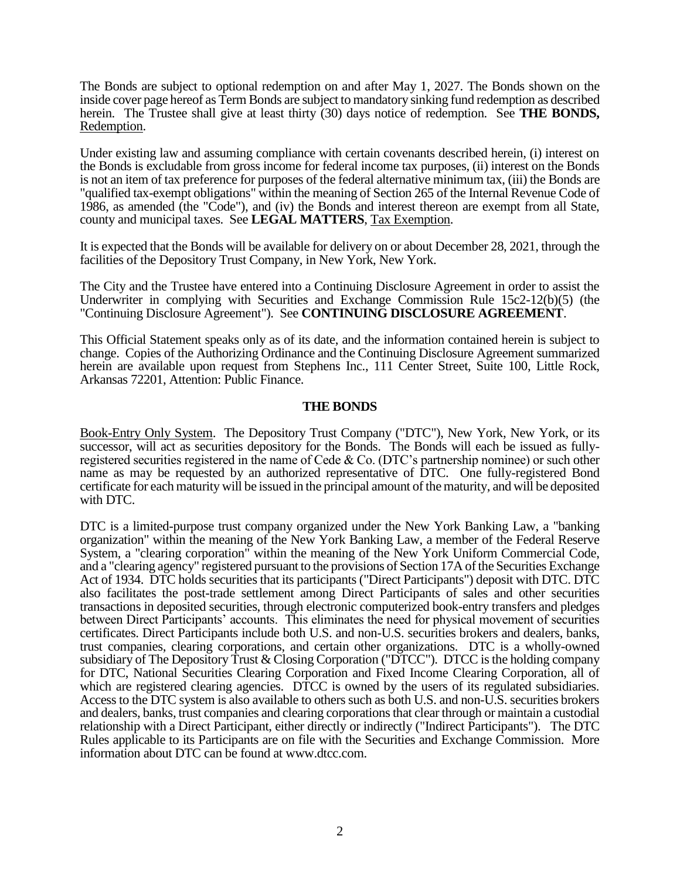The Bonds are subject to optional redemption on and after May 1, 2027. The Bonds shown on the inside cover page hereof as Term Bonds are subject to mandatory sinking fund redemption as described herein. The Trustee shall give at least thirty (30) days notice of redemption. See **THE BONDS,** Redemption.

Under existing law and assuming compliance with certain covenants described herein, (i) interest on the Bonds is excludable from gross income for federal income tax purposes, (ii) interest on the Bonds is not an item of tax preference for purposes of the federal alternative minimum tax, (iii) the Bonds are "qualified tax-exempt obligations" within the meaning of Section 265 of the Internal Revenue Code of 1986, as amended (the "Code"), and (iv) the Bonds and interest thereon are exempt from all State, county and municipal taxes. See **LEGAL MATTERS**, Tax Exemption.

It is expected that the Bonds will be available for delivery on or about December 28, 2021, through the facilities of the Depository Trust Company, in New York, New York.

The City and the Trustee have entered into a Continuing Disclosure Agreement in order to assist the Underwriter in complying with Securities and Exchange Commission Rule 15c2-12(b)(5) (the "Continuing Disclosure Agreement"). See **CONTINUING DISCLOSURE AGREEMENT**.

This Official Statement speaks only as of its date, and the information contained herein is subject to change. Copies of the Authorizing Ordinance and the Continuing Disclosure Agreement summarized herein are available upon request from Stephens Inc., 111 Center Street, Suite 100, Little Rock, Arkansas 72201, Attention: Public Finance.

#### **THE BONDS**

Book-Entry Only System. The Depository Trust Company ("DTC"), New York, New York, or its successor, will act as securities depository for the Bonds. The Bonds will each be issued as fullyregistered securities registered in the name of Cede & Co. (DTC's partnership nominee) or such other name as may be requested by an authorized representative of DTC. One fully-registered Bond certificate for each maturity will be issued in the principal amount of the maturity, and will be deposited with DTC.

DTC is a limited-purpose trust company organized under the New York Banking Law, a "banking organization" within the meaning of the New York Banking Law, a member of the Federal Reserve System, a "clearing corporation" within the meaning of the New York Uniform Commercial Code, and a "clearing agency" registered pursuant to the provisions of Section 17A of the Securities Exchange Act of 1934. DTC holds securities that its participants ("Direct Participants") deposit with DTC. DTC also facilitates the post-trade settlement among Direct Participants of sales and other securities transactions in deposited securities, through electronic computerized book-entry transfers and pledges between Direct Participants' accounts. This eliminates the need for physical movement of securities certificates. Direct Participants include both U.S. and non-U.S. securities brokers and dealers, banks, trust companies, clearing corporations, and certain other organizations. DTC is a wholly-owned subsidiary of The Depository Trust & Closing Corporation ("DTCC"). DTCC is the holding company for DTC, National Securities Clearing Corporation and Fixed Income Clearing Corporation, all of which are registered clearing agencies. DTCC is owned by the users of its regulated subsidiaries. Access to the DTC system is also available to others such as both U.S. and non-U.S. securities brokers and dealers, banks, trust companies and clearing corporations that clear through or maintain a custodial relationship with a Direct Participant, either directly or indirectly ("Indirect Participants"). The DTC Rules applicable to its Participants are on file with the Securities and Exchange Commission. More information about DTC can be found at www.dtcc.com.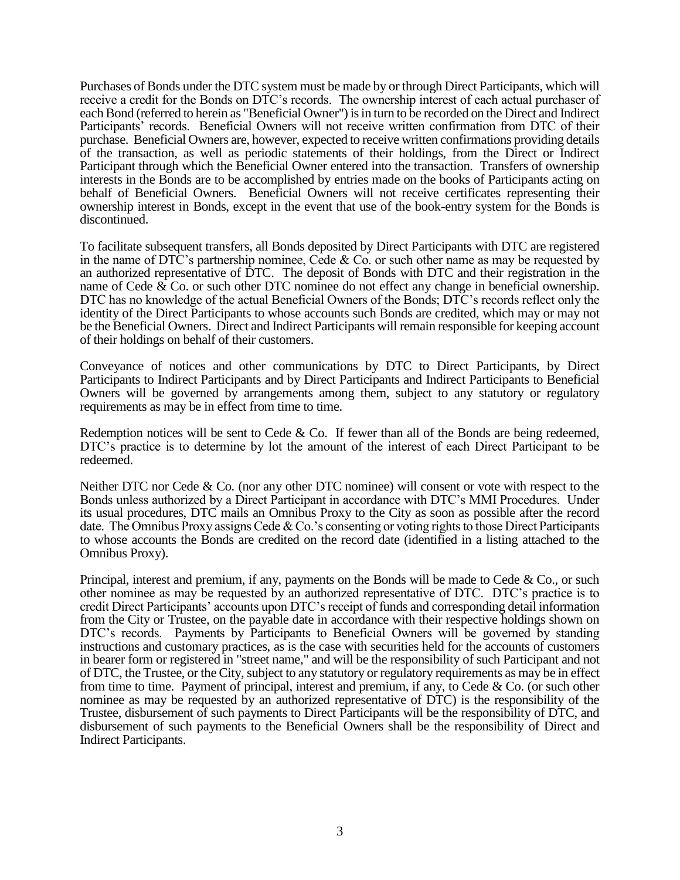Purchases of Bonds under the DTC system must be made by or through Direct Participants, which will receive a credit for the Bonds on DTC's records. The ownership interest of each actual purchaser of each Bond (referred to herein as "Beneficial Owner") is in turn to be recorded on the Direct and Indirect Participants' records. Beneficial Owners will not receive written confirmation from DTC of their purchase. Beneficial Owners are, however, expected to receive written confirmations providing details of the transaction, as well as periodic statements of their holdings, from the Direct or Indirect Participant through which the Beneficial Owner entered into the transaction. Transfers of ownership interests in the Bonds are to be accomplished by entries made on the books of Participants acting on behalf of Beneficial Owners. Beneficial Owners will not receive certificates representing their ownership interest in Bonds, except in the event that use of the book-entry system for the Bonds is discontinued.

To facilitate subsequent transfers, all Bonds deposited by Direct Participants with DTC are registered in the name of DTC's partnership nominee, Cede & Co. or such other name as may be requested by an authorized representative of DTC. The deposit of Bonds with DTC and their registration in the name of Cede  $\&$  Co. or such other DTC nominee do not effect any change in beneficial ownership. DTC has no knowledge of the actual Beneficial Owners of the Bonds; DTC's records reflect only the identity of the Direct Participants to whose accounts such Bonds are credited, which may or may not be the Beneficial Owners. Direct and Indirect Participants will remain responsible for keeping account of their holdings on behalf of their customers.

Conveyance of notices and other communications by DTC to Direct Participants, by Direct Participants to Indirect Participants and by Direct Participants and Indirect Participants to Beneficial Owners will be governed by arrangements among them, subject to any statutory or regulatory requirements as may be in effect from time to time.

Redemption notices will be sent to Cede  $&$  Co. If fewer than all of the Bonds are being redeemed, DTC's practice is to determine by lot the amount of the interest of each Direct Participant to be redeemed.

Neither DTC nor Cede & Co. (nor any other DTC nominee) will consent or vote with respect to the Bonds unless authorized by a Direct Participant in accordance with DTC's MMI Procedures. Under its usual procedures, DTC mails an Omnibus Proxy to the City as soon as possible after the record date. The Omnibus Proxy assigns Cede & Co.'s consenting or voting rights to those Direct Participants to whose accounts the Bonds are credited on the record date (identified in a listing attached to the Omnibus Proxy).

Principal, interest and premium, if any, payments on the Bonds will be made to Cede & Co., or such other nominee as may be requested by an authorized representative of DTC. DTC's practice is to credit Direct Participants' accounts upon DTC's receipt of funds and corresponding detail information from the City or Trustee, on the payable date in accordance with their respective holdings shown on DTC's records. Payments by Participants to Beneficial Owners will be governed by standing instructions and customary practices, as is the case with securities held for the accounts of customers in bearer form or registered in "street name," and will be the responsibility of such Participant and not of DTC, the Trustee, or the City, subject to any statutory or regulatory requirements as may be in effect from time to time. Payment of principal, interest and premium, if any, to Cede & Co. (or such other nominee as may be requested by an authorized representative of DTC) is the responsibility of the Trustee, disbursement of such payments to Direct Participants will be the responsibility of DTC, and disbursement of such payments to the Beneficial Owners shall be the responsibility of Direct and Indirect Participants.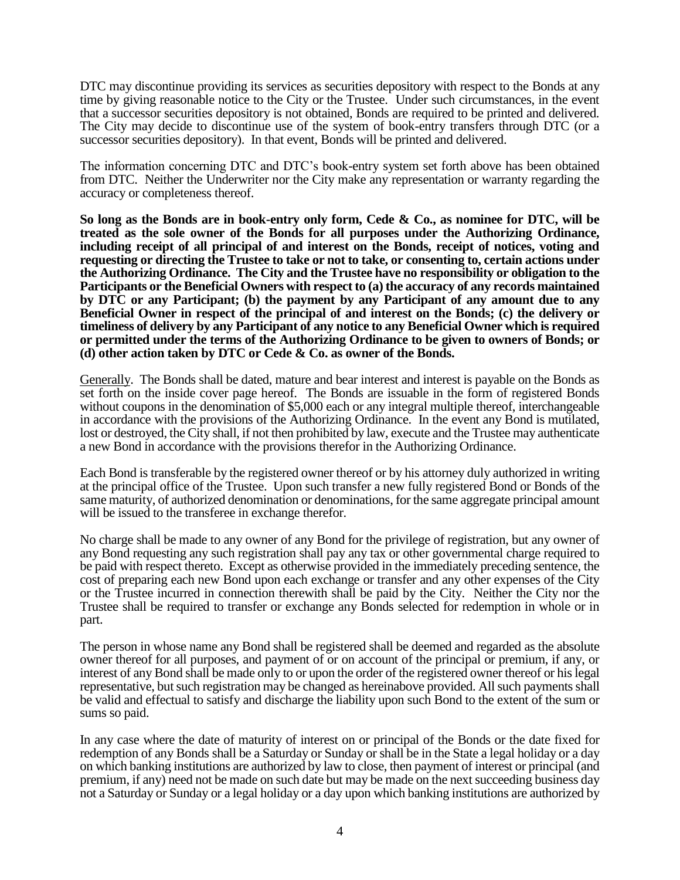DTC may discontinue providing its services as securities depository with respect to the Bonds at any time by giving reasonable notice to the City or the Trustee. Under such circumstances, in the event that a successor securities depository is not obtained, Bonds are required to be printed and delivered. The City may decide to discontinue use of the system of book-entry transfers through DTC (or a successor securities depository). In that event, Bonds will be printed and delivered.

The information concerning DTC and DTC's book-entry system set forth above has been obtained from DTC. Neither the Underwriter nor the City make any representation or warranty regarding the accuracy or completeness thereof.

**So long as the Bonds are in book-entry only form, Cede & Co., as nominee for DTC, will be treated as the sole owner of the Bonds for all purposes under the Authorizing Ordinance, including receipt of all principal of and interest on the Bonds, receipt of notices, voting and requesting or directing the Trustee to take or not to take, or consenting to, certain actions under the Authorizing Ordinance. The City and the Trustee have no responsibility or obligation to the Participants or the Beneficial Owners with respect to (a) the accuracy of any records maintained by DTC or any Participant; (b) the payment by any Participant of any amount due to any Beneficial Owner in respect of the principal of and interest on the Bonds; (c) the delivery or timeliness of delivery by any Participant of any notice to any Beneficial Owner which is required or permitted under the terms of the Authorizing Ordinance to be given to owners of Bonds; or (d) other action taken by DTC or Cede & Co. as owner of the Bonds.**

Generally. The Bonds shall be dated, mature and bear interest and interest is payable on the Bonds as set forth on the inside cover page hereof. The Bonds are issuable in the form of registered Bonds without coupons in the denomination of \$5,000 each or any integral multiple thereof, interchangeable in accordance with the provisions of the Authorizing Ordinance. In the event any Bond is mutilated, lost or destroyed, the City shall, if not then prohibited by law, execute and the Trustee may authenticate a new Bond in accordance with the provisions therefor in the Authorizing Ordinance.

Each Bond is transferable by the registered owner thereof or by his attorney duly authorized in writing at the principal office of the Trustee. Upon such transfer a new fully registered Bond or Bonds of the same maturity, of authorized denomination or denominations, for the same aggregate principal amount will be issued to the transferee in exchange therefor.

No charge shall be made to any owner of any Bond for the privilege of registration, but any owner of any Bond requesting any such registration shall pay any tax or other governmental charge required to be paid with respect thereto. Except as otherwise provided in the immediately preceding sentence, the cost of preparing each new Bond upon each exchange or transfer and any other expenses of the City or the Trustee incurred in connection therewith shall be paid by the City. Neither the City nor the Trustee shall be required to transfer or exchange any Bonds selected for redemption in whole or in part.

The person in whose name any Bond shall be registered shall be deemed and regarded as the absolute owner thereof for all purposes, and payment of or on account of the principal or premium, if any, or interest of any Bond shall be made only to or upon the order of the registered owner thereof or his legal representative, but such registration may be changed as hereinabove provided. All such payments shall be valid and effectual to satisfy and discharge the liability upon such Bond to the extent of the sum or sums so paid.

In any case where the date of maturity of interest on or principal of the Bonds or the date fixed for redemption of any Bonds shall be a Saturday or Sunday or shall be in the State a legal holiday or a day on which banking institutions are authorized by law to close, then payment of interest or principal (and premium, if any) need not be made on such date but may be made on the next succeeding business day not a Saturday or Sunday or a legal holiday or a day upon which banking institutions are authorized by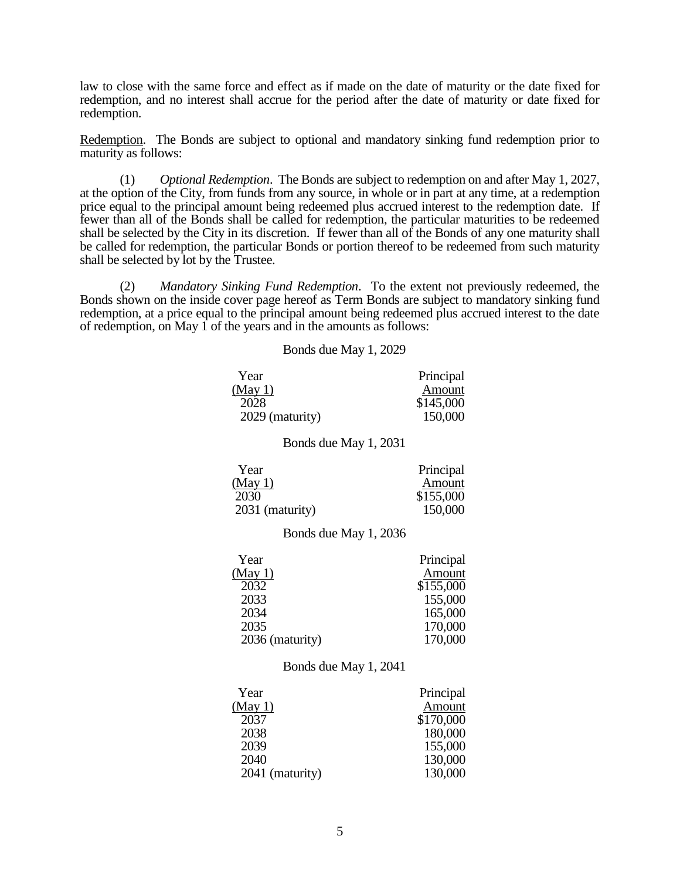law to close with the same force and effect as if made on the date of maturity or the date fixed for redemption, and no interest shall accrue for the period after the date of maturity or date fixed for redemption.

Redemption. The Bonds are subject to optional and mandatory sinking fund redemption prior to maturity as follows:

(1) *Optional Redemption*. The Bonds are subject to redemption on and after May 1, 2027, at the option of the City, from funds from any source, in whole or in part at any time, at a redemption price equal to the principal amount being redeemed plus accrued interest to the redemption date. If fewer than all of the Bonds shall be called for redemption, the particular maturities to be redeemed shall be selected by the City in its discretion. If fewer than all of the Bonds of any one maturity shall be called for redemption, the particular Bonds or portion thereof to be redeemed from such maturity shall be selected by lot by the Trustee.

(2) *Mandatory Sinking Fund Redemption*. To the extent not previously redeemed, the Bonds shown on the inside cover page hereof as Term Bonds are subject to mandatory sinking fund redemption, at a price equal to the principal amount being redeemed plus accrued interest to the date of redemption, on May 1 of the years and in the amounts as follows:

Bonds due May 1, 2029

| Year                                                                | Principal                                          |
|---------------------------------------------------------------------|----------------------------------------------------|
| (May 1)                                                             | Amount                                             |
| 2028                                                                | \$145,000                                          |
| 2029 (maturity)                                                     | 150,000                                            |
| Bonds due May 1, 2031                                               |                                                    |
| Year<br>(May 1)<br>2030<br>2031 (maturity)<br>Bonds due May 1, 2036 | Principal<br><b>Amount</b><br>\$155,000<br>150,000 |
| Year                                                                | Principal                                          |
| <u>(May 1)</u>                                                      | Amount                                             |
| 2032                                                                | \$155,000                                          |
| 2033                                                                | 155,000                                            |
| 2034                                                                | 165,000                                            |
| 2035                                                                | 170,000                                            |
| 2036 (maturity)                                                     | 170,000                                            |
| Bonds due May 1, 2041                                               |                                                    |
| Year                                                                | Principal                                          |
| (May1)                                                              | Amount                                             |
| 2037                                                                | \$170,000                                          |
| 2038                                                                | 180,000                                            |
| 2039                                                                | 155,000                                            |
| 2040                                                                | 130,000                                            |
| 2041 (maturity)                                                     | 130,000                                            |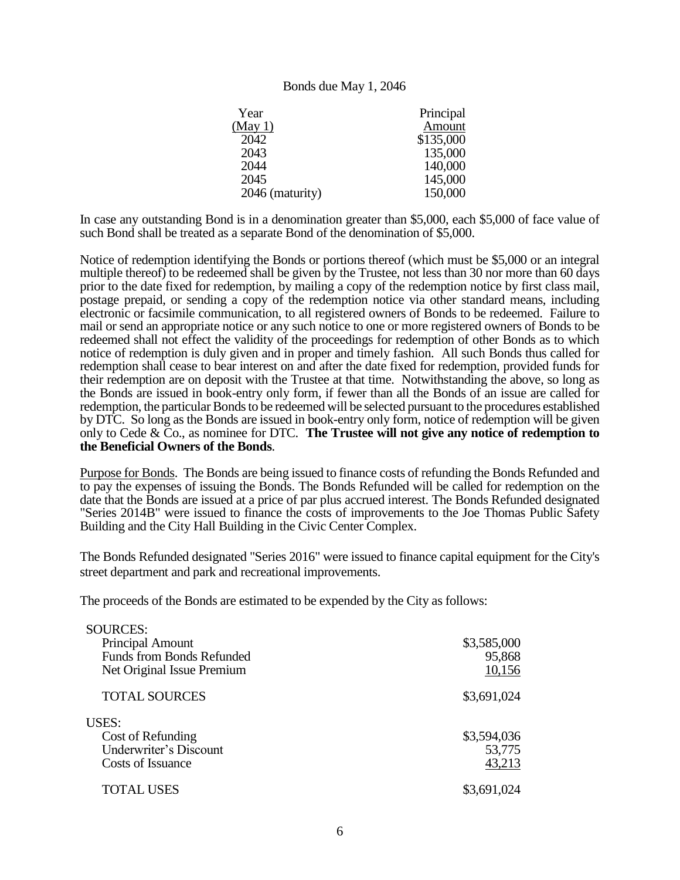#### Bonds due May 1, 2046

| Year            | Principal |
|-----------------|-----------|
| (May 1)         | Amount    |
| 2042            | \$135,000 |
| 2043            | 135,000   |
| 2044            | 140,000   |
| 2045            | 145,000   |
| 2046 (maturity) | 150,000   |
|                 |           |

In case any outstanding Bond is in a denomination greater than \$5,000, each \$5,000 of face value of such Bond shall be treated as a separate Bond of the denomination of \$5,000.

Notice of redemption identifying the Bonds or portions thereof (which must be \$5,000 or an integral multiple thereof) to be redeemed shall be given by the Trustee, not less than 30 nor more than 60 days prior to the date fixed for redemption, by mailing a copy of the redemption notice by first class mail, postage prepaid, or sending a copy of the redemption notice via other standard means, including electronic or facsimile communication, to all registered owners of Bonds to be redeemed. Failure to mail or send an appropriate notice or any such notice to one or more registered owners of Bonds to be redeemed shall not effect the validity of the proceedings for redemption of other Bonds as to which notice of redemption is duly given and in proper and timely fashion. All such Bonds thus called for redemption shall cease to bear interest on and after the date fixed for redemption, provided funds for their redemption are on deposit with the Trustee at that time. Notwithstanding the above, so long as the Bonds are issued in book-entry only form, if fewer than all the Bonds of an issue are called for redemption, the particular Bonds to be redeemed will be selected pursuant to the procedures established by DTC. So long as the Bonds are issued in book-entry only form, notice of redemption will be given only to Cede & Co., as nominee for DTC. **The Trustee will not give any notice of redemption to the Beneficial Owners of the Bonds**.

Purpose for Bonds. The Bonds are being issued to finance costs of refunding the Bonds Refunded and to pay the expenses of issuing the Bonds. The Bonds Refunded will be called for redemption on the date that the Bonds are issued at a price of par plus accrued interest. The Bonds Refunded designated "Series 2014B" were issued to finance the costs of improvements to the Joe Thomas Public Safety Building and the City Hall Building in the Civic Center Complex.

The Bonds Refunded designated "Series 2016" were issued to finance capital equipment for the City's street department and park and recreational improvements.

The proceeds of the Bonds are estimated to be expended by the City as follows:

| <b>SOURCES:</b>               |             |
|-------------------------------|-------------|
| Principal Amount              | \$3,585,000 |
| Funds from Bonds Refunded     | 95,868      |
| Net Original Issue Premium    | 10,156      |
| <b>TOTAL SOURCES</b>          | \$3,691,024 |
| <b>USES:</b>                  |             |
| Cost of Refunding             | \$3,594,036 |
| <b>Underwriter's Discount</b> | 53,775      |
| Costs of Issuance             | 43,213      |
| TOTAL USES                    | \$3,691,024 |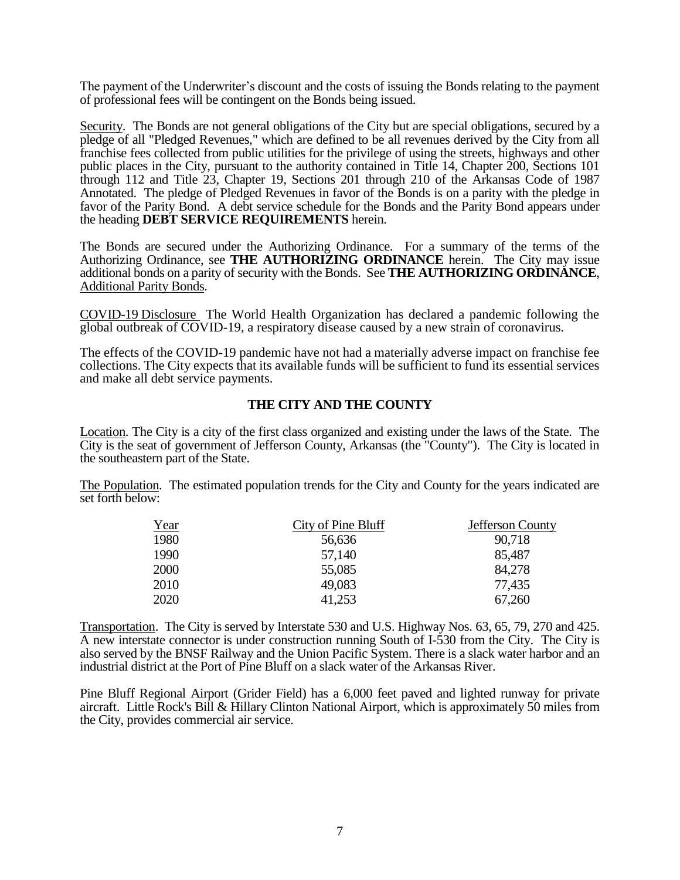The payment of the Underwriter's discount and the costs of issuing the Bonds relating to the payment of professional fees will be contingent on the Bonds being issued.

Security. The Bonds are not general obligations of the City but are special obligations, secured by a pledge of all "Pledged Revenues," which are defined to be all revenues derived by the City from all franchise fees collected from public utilities for the privilege of using the streets, highways and other public places in the City, pursuant to the authority contained in Title 14, Chapter 200, Sections 101 through 112 and Title 23, Chapter 19, Sections 201 through 210 of the Arkansas Code of 1987 Annotated. The pledge of Pledged Revenues in favor of the Bonds is on a parity with the pledge in favor of the Parity Bond. A debt service schedule for the Bonds and the Parity Bond appears under the heading **DEBT SERVICE REQUIREMENTS** herein.

The Bonds are secured under the Authorizing Ordinance. For a summary of the terms of the Authorizing Ordinance, see **THE AUTHORIZING ORDINANCE** herein. The City may issue additional bonds on a parity of security with the Bonds. See **THE AUTHORIZING ORDINANCE**, Additional Parity Bonds.

COVID-19 Disclosure The World Health Organization has declared a pandemic following the global outbreak of COVID-19, a respiratory disease caused by a new strain of coronavirus.

The effects of the COVID-19 pandemic have not had a materially adverse impact on franchise fee collections. The City expects that its available funds will be sufficient to fund its essential services and make all debt service payments.

### **THE CITY AND THE COUNTY**

Location. The City is a city of the first class organized and existing under the laws of the State. The City is the seat of government of Jefferson County, Arkansas (the "County"). The City is located in the southeastern part of the State.

The Population. The estimated population trends for the City and County for the years indicated are set forth below:

| Year | City of Pine Bluff | Jefferson County |
|------|--------------------|------------------|
| 1980 | 56,636             | 90,718           |
| 1990 | 57.140             | 85,487           |
| 2000 | 55,085             | 84,278           |
| 2010 | 49,083             | 77,435           |
| 2020 | 41,253             | 67,260           |

Transportation. The City is served by Interstate 530 and U.S. Highway Nos. 63, 65, 79, 270 and 425. A new interstate connector is under construction running South of I-530 from the City. The City is also served by the BNSF Railway and the Union Pacific System. There is a slack water harbor and an industrial district at the Port of Pine Bluff on a slack water of the Arkansas River.

Pine Bluff Regional Airport (Grider Field) has a 6,000 feet paved and lighted runway for private aircraft. Little Rock's Bill & Hillary Clinton National Airport, which is approximately 50 miles from the City, provides commercial air service.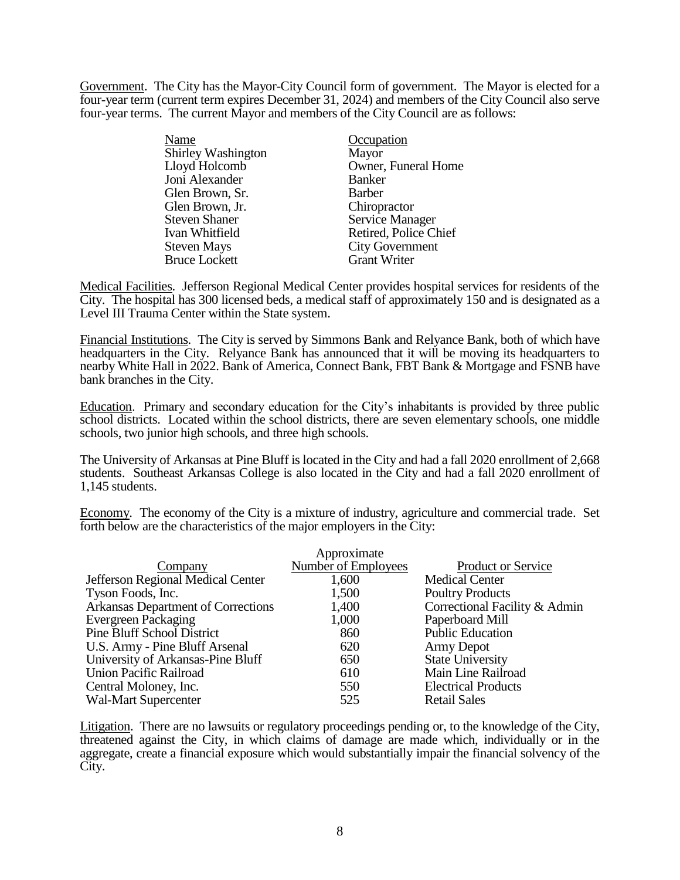Government. The City has the Mayor-City Council form of government. The Mayor is elected for a four-year term (current term expires December 31, 2024) and members of the City Council also serve four-year terms. The current Mayor and members of the City Council are as follows:

| Name                 | Occupation             |
|----------------------|------------------------|
| Shirley Washington   | Mayor                  |
| Lloyd Holcomb        | Owner, Funeral Home    |
| Joni Alexander       | <b>Banker</b>          |
| Glen Brown, Sr.      | <b>Barber</b>          |
| Glen Brown, Jr.      | Chiropractor           |
| <b>Steven Shaner</b> | <b>Service Manager</b> |
| Ivan Whitfield       | Retired, Police Chief  |
| <b>Steven Mays</b>   | <b>City Government</b> |
| <b>Bruce Lockett</b> | <b>Grant Writer</b>    |

Medical Facilities. Jefferson Regional Medical Center provides hospital services for residents of the City. The hospital has 300 licensed beds, a medical staff of approximately 150 and is designated as a Level III Trauma Center within the State system.

Financial Institutions. The City is served by Simmons Bank and Relyance Bank, both of which have headquarters in the City. Relyance Bank has announced that it will be moving its headquarters to nearby White Hall in 2022. Bank of America, Connect Bank, FBT Bank & Mortgage and FSNB have bank branches in the City.

Education. Primary and secondary education for the City's inhabitants is provided by three public school districts. Located within the school districts, there are seven elementary schools, one middle schools, two junior high schools, and three high schools.

The University of Arkansas at Pine Bluff is located in the City and had a fall 2020 enrollment of 2,668 students. Southeast Arkansas College is also located in the City and had a fall 2020 enrollment of 1,145 students.

Economy. The economy of the City is a mixture of industry, agriculture and commercial trade. Set forth below are the characteristics of the major employers in the City:

|                                    | Approximate                |                               |
|------------------------------------|----------------------------|-------------------------------|
| Company                            | <b>Number of Employees</b> | <b>Product or Service</b>     |
| Jefferson Regional Medical Center  | 1,600                      | <b>Medical Center</b>         |
| Tyson Foods, Inc.                  | 1,500                      | <b>Poultry Products</b>       |
| Arkansas Department of Corrections | 1,400                      | Correctional Facility & Admin |
| <b>Evergreen Packaging</b>         | 1,000                      | Paperboard Mill               |
| <b>Pine Bluff School District</b>  | 860                        | <b>Public Education</b>       |
| U.S. Army - Pine Bluff Arsenal     | 620                        | <b>Army Depot</b>             |
| University of Arkansas-Pine Bluff  | 650                        | <b>State University</b>       |
| <b>Union Pacific Railroad</b>      | 610                        | Main Line Railroad            |
| Central Moloney, Inc.              | 550                        | <b>Electrical Products</b>    |
| <b>Wal-Mart Supercenter</b>        | 525                        | <b>Retail Sales</b>           |

Litigation. There are no lawsuits or regulatory proceedings pending or, to the knowledge of the City, threatened against the City, in which claims of damage are made which, individually or in the aggregate, create a financial exposure which would substantially impair the financial solvency of the City.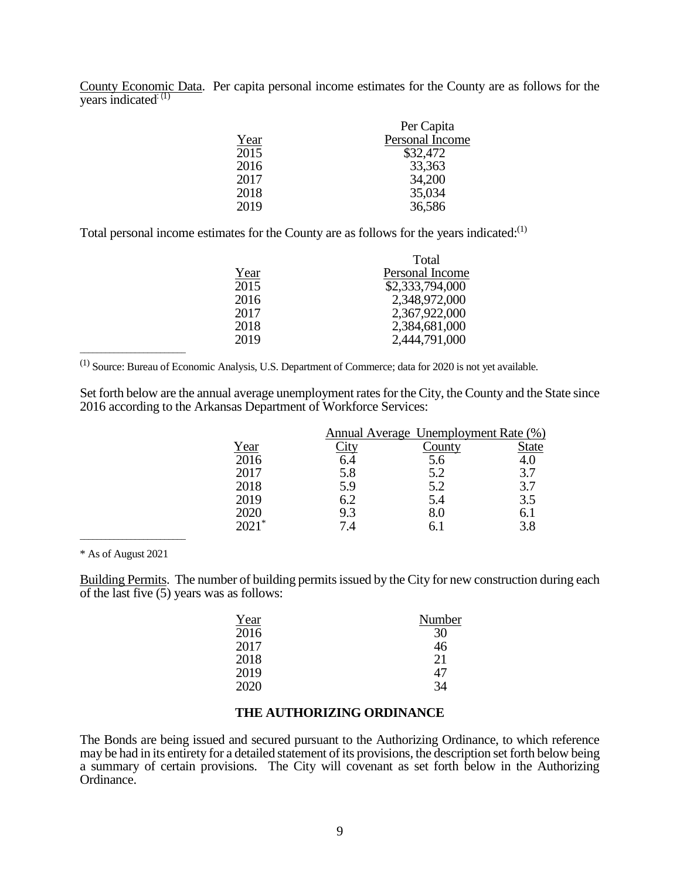County Economic Data. Per capita personal income estimates for the County are as follows for the years indicated<sup>: (1)</sup>

|      | Per Capita      |
|------|-----------------|
| Year | Personal Income |
| 2015 | \$32,472        |
| 2016 | 33,363          |
| 2017 | 34,200          |
| 2018 | 35,034          |
| 2019 | 36,586          |

Total personal income estimates for the County are as follows for the years indicated:<sup>(1)</sup>

|      | Total           |
|------|-----------------|
| Year | Personal Income |
| 2015 | \$2,333,794,000 |
| 2016 | 2,348,972,000   |
| 2017 | 2,367,922,000   |
| 2018 | 2,384,681,000   |
| 2019 | 2,444,791,000   |

(1) Source: Bureau of Economic Analysis, U.S. Department of Commerce; data for 2020 is not yet available.

Set forth below are the annual average unemployment rates for the City, the County and the State since 2016 according to the Arkansas Department of Workforce Services:

|      |     | <b>Annual Average Unemployment Rate (%)</b> |              |
|------|-----|---------------------------------------------|--------------|
| Year |     | 'ountv                                      | <b>State</b> |
| 2016 |     | 5.6                                         | 4.0          |
| 2017 | 5.8 | 5.2                                         | 3.7          |
| 2018 | 5.9 | 5.2                                         | 3.7          |
| 2019 | 6.2 | 5.4                                         | 3.5          |
| 2020 | 9.3 | 8.0                                         | 6.1          |
|      |     |                                             |              |

\* As of August 2021

\_\_\_\_\_\_\_\_\_\_\_\_\_\_\_\_\_\_\_\_\_\_\_\_\_

\_\_\_\_\_\_\_\_\_\_\_\_\_\_\_\_\_\_\_\_\_\_\_\_\_

Building Permits. The number of building permits issued by the City for new construction during each of the last five  $(5)$  years was as follows:

| Year | Number |
|------|--------|
| 2016 | 30     |
| 2017 | 46     |
| 2018 | 21     |
| 2019 | 47     |
| 2020 | 34     |

#### **THE AUTHORIZING ORDINANCE**

The Bonds are being issued and secured pursuant to the Authorizing Ordinance, to which reference may be had in its entirety for a detailed statement of its provisions, the description set forth below being a summary of certain provisions. The City will covenant as set forth below in the Authorizing Ordinance.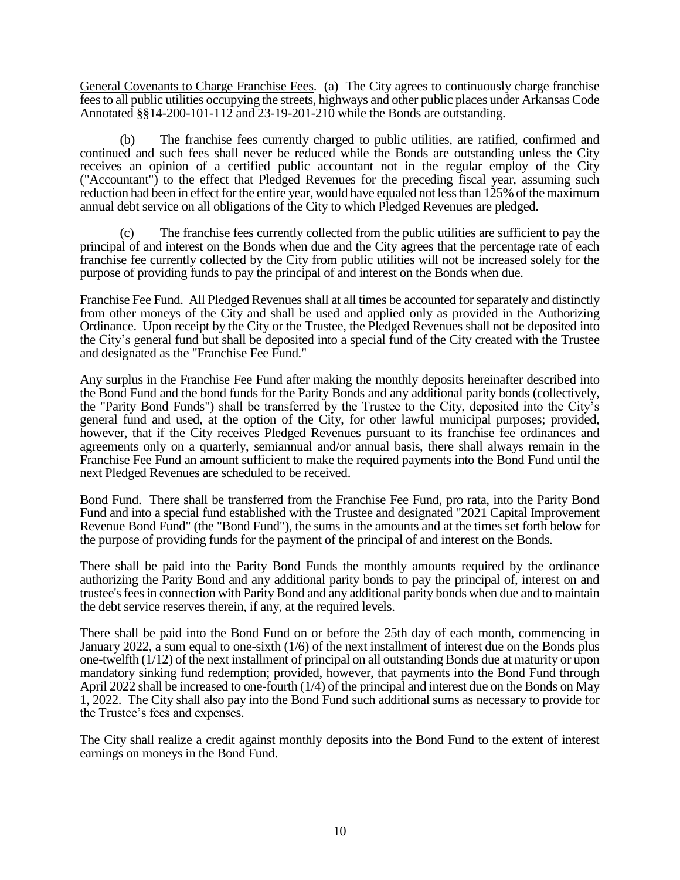General Covenants to Charge Franchise Fees. (a) The City agrees to continuously charge franchise fees to all public utilities occupying the streets, highways and other public places under Arkansas Code Annotated §§14-200-101-112 and 23-19-201-210 while the Bonds are outstanding.

(b) The franchise fees currently charged to public utilities, are ratified, confirmed and continued and such fees shall never be reduced while the Bonds are outstanding unless the City receives an opinion of a certified public accountant not in the regular employ of the City ("Accountant") to the effect that Pledged Revenues for the preceding fiscal year, assuming such reduction had been in effect for the entire year, would have equaled not less than 125% of the maximum annual debt service on all obligations of the City to which Pledged Revenues are pledged.

(c) The franchise fees currently collected from the public utilities are sufficient to pay the principal of and interest on the Bonds when due and the City agrees that the percentage rate of each franchise fee currently collected by the City from public utilities will not be increased solely for the purpose of providing funds to pay the principal of and interest on the Bonds when due.

Franchise Fee Fund. All Pledged Revenues shall at all times be accounted for separately and distinctly from other moneys of the City and shall be used and applied only as provided in the Authorizing Ordinance. Upon receipt by the City or the Trustee, the Pledged Revenues shall not be deposited into the City's general fund but shall be deposited into a special fund of the City created with the Trustee and designated as the "Franchise Fee Fund."

Any surplus in the Franchise Fee Fund after making the monthly deposits hereinafter described into the Bond Fund and the bond funds for the Parity Bonds and any additional parity bonds (collectively, the "Parity Bond Funds") shall be transferred by the Trustee to the City, deposited into the City's general fund and used, at the option of the City, for other lawful municipal purposes; provided, however, that if the City receives Pledged Revenues pursuant to its franchise fee ordinances and agreements only on a quarterly, semiannual and/or annual basis, there shall always remain in the Franchise Fee Fund an amount sufficient to make the required payments into the Bond Fund until the next Pledged Revenues are scheduled to be received.

Bond Fund. There shall be transferred from the Franchise Fee Fund, pro rata, into the Parity Bond Fund and into a special fund established with the Trustee and designated "2021 Capital Improvement Revenue Bond Fund" (the "Bond Fund"), the sums in the amounts and at the times set forth below for the purpose of providing funds for the payment of the principal of and interest on the Bonds.

There shall be paid into the Parity Bond Funds the monthly amounts required by the ordinance authorizing the Parity Bond and any additional parity bonds to pay the principal of, interest on and trustee's fees in connection with Parity Bond and any additional parity bonds when due and to maintain the debt service reserves therein, if any, at the required levels.

There shall be paid into the Bond Fund on or before the 25th day of each month, commencing in January 2022, a sum equal to one-sixth (1/6) of the next installment of interest due on the Bonds plus one-twelfth (1/12) of the next installment of principal on all outstanding Bonds due at maturity or upon mandatory sinking fund redemption; provided, however, that payments into the Bond Fund through April 2022 shall be increased to one-fourth (1/4) of the principal and interest due on the Bonds on May 1, 2022. The City shall also pay into the Bond Fund such additional sums as necessary to provide for the Trustee's fees and expenses.

The City shall realize a credit against monthly deposits into the Bond Fund to the extent of interest earnings on moneys in the Bond Fund.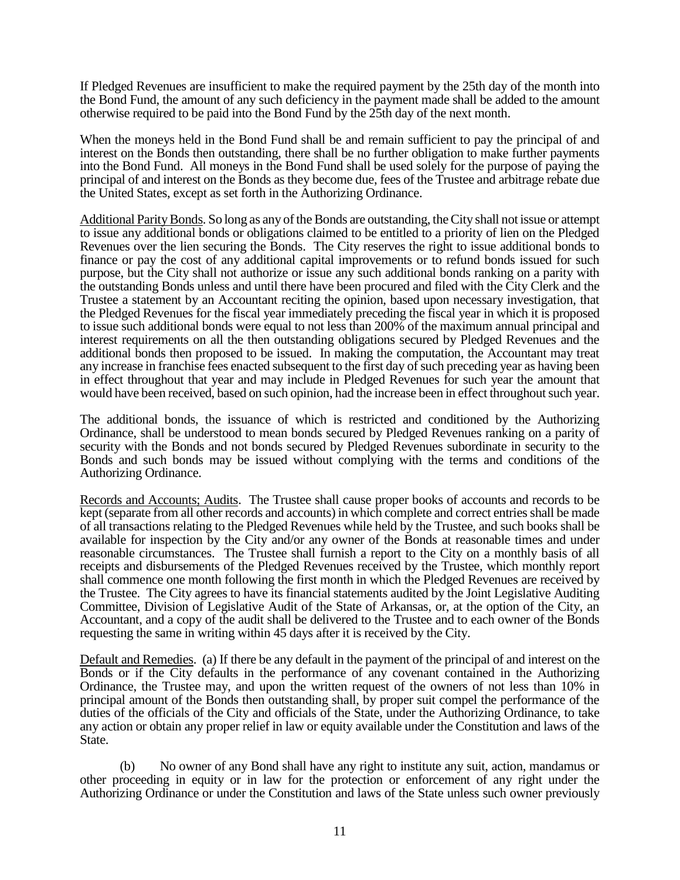If Pledged Revenues are insufficient to make the required payment by the 25th day of the month into the Bond Fund, the amount of any such deficiency in the payment made shall be added to the amount otherwise required to be paid into the Bond Fund by the 25th day of the next month.

When the moneys held in the Bond Fund shall be and remain sufficient to pay the principal of and interest on the Bonds then outstanding, there shall be no further obligation to make further payments into the Bond Fund. All moneys in the Bond Fund shall be used solely for the purpose of paying the principal of and interest on the Bonds as they become due, fees of the Trustee and arbitrage rebate due the United States, except as set forth in the Authorizing Ordinance.

Additional Parity Bonds. So long as any of the Bonds are outstanding, the City shall not issue or attempt to issue any additional bonds or obligations claimed to be entitled to a priority of lien on the Pledged Revenues over the lien securing the Bonds. The City reserves the right to issue additional bonds to finance or pay the cost of any additional capital improvements or to refund bonds issued for such purpose, but the City shall not authorize or issue any such additional bonds ranking on a parity with the outstanding Bonds unless and until there have been procured and filed with the City Clerk and the Trustee a statement by an Accountant reciting the opinion, based upon necessary investigation, that the Pledged Revenues for the fiscal year immediately preceding the fiscal year in which it is proposed to issue such additional bonds were equal to not less than 200% of the maximum annual principal and interest requirements on all the then outstanding obligations secured by Pledged Revenues and the additional bonds then proposed to be issued. In making the computation, the Accountant may treat any increase in franchise fees enacted subsequent to the first day of such preceding year as having been in effect throughout that year and may include in Pledged Revenues for such year the amount that would have been received, based on such opinion, had the increase been in effect throughout such year.

The additional bonds, the issuance of which is restricted and conditioned by the Authorizing Ordinance, shall be understood to mean bonds secured by Pledged Revenues ranking on a parity of security with the Bonds and not bonds secured by Pledged Revenues subordinate in security to the Bonds and such bonds may be issued without complying with the terms and conditions of the Authorizing Ordinance.

Records and Accounts; Audits. The Trustee shall cause proper books of accounts and records to be kept (separate from all other records and accounts) in which complete and correct entries shall be made of all transactions relating to the Pledged Revenues while held by the Trustee, and such books shall be available for inspection by the City and/or any owner of the Bonds at reasonable times and under reasonable circumstances. The Trustee shall furnish a report to the City on a monthly basis of all receipts and disbursements of the Pledged Revenues received by the Trustee, which monthly report shall commence one month following the first month in which the Pledged Revenues are received by the Trustee. The City agrees to have its financial statements audited by the Joint Legislative Auditing Committee, Division of Legislative Audit of the State of Arkansas, or, at the option of the City, an Accountant, and a copy of the audit shall be delivered to the Trustee and to each owner of the Bonds requesting the same in writing within 45 days after it is received by the City.

Default and Remedies. (a) If there be any default in the payment of the principal of and interest on the Bonds or if the City defaults in the performance of any covenant contained in the Authorizing Ordinance, the Trustee may, and upon the written request of the owners of not less than 10% in principal amount of the Bonds then outstanding shall, by proper suit compel the performance of the duties of the officials of the City and officials of the State, under the Authorizing Ordinance, to take any action or obtain any proper relief in law or equity available under the Constitution and laws of the State.

(b) No owner of any Bond shall have any right to institute any suit, action, mandamus or other proceeding in equity or in law for the protection or enforcement of any right under the Authorizing Ordinance or under the Constitution and laws of the State unless such owner previously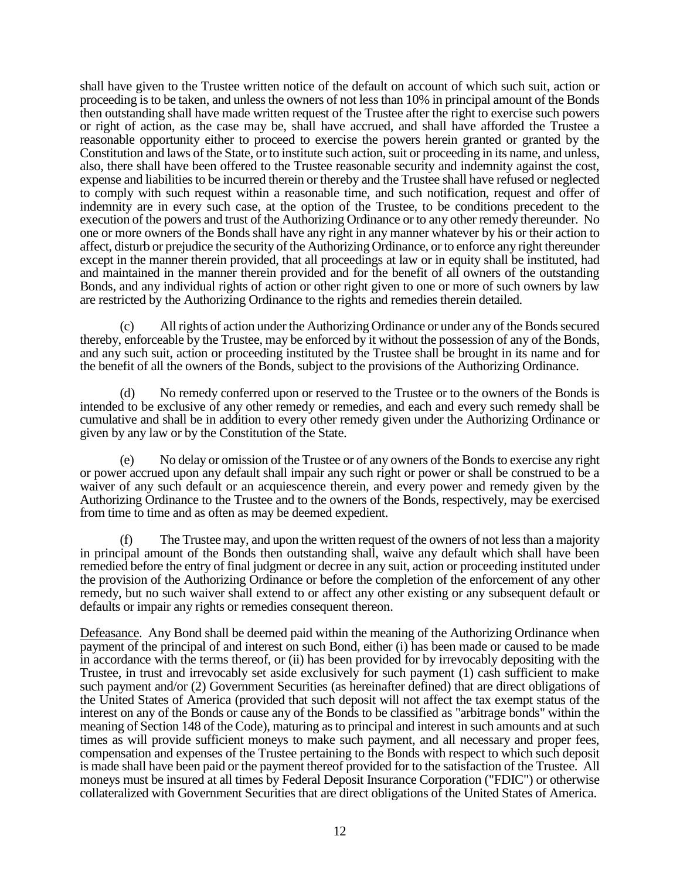shall have given to the Trustee written notice of the default on account of which such suit, action or proceeding is to be taken, and unless the owners of not less than 10% in principal amount of the Bonds then outstanding shall have made written request of the Trustee after the right to exercise such powers or right of action, as the case may be, shall have accrued, and shall have afforded the Trustee a reasonable opportunity either to proceed to exercise the powers herein granted or granted by the Constitution and laws of the State, or to institute such action, suit or proceeding in its name, and unless, also, there shall have been offered to the Trustee reasonable security and indemnity against the cost, expense and liabilities to be incurred therein or thereby and the Trustee shall have refused or neglected to comply with such request within a reasonable time, and such notification, request and offer of indemnity are in every such case, at the option of the Trustee, to be conditions precedent to the execution of the powers and trust of the Authorizing Ordinance or to any other remedy thereunder. No one or more owners of the Bonds shall have any right in any manner whatever by his or their action to affect, disturb or prejudice the security of the Authorizing Ordinance, or to enforce any right thereunder except in the manner therein provided, that all proceedings at law or in equity shall be instituted, had and maintained in the manner therein provided and for the benefit of all owners of the outstanding Bonds, and any individual rights of action or other right given to one or more of such owners by law are restricted by the Authorizing Ordinance to the rights and remedies therein detailed.

(c) All rights of action under the Authorizing Ordinance or under any of the Bonds secured thereby, enforceable by the Trustee, may be enforced by it without the possession of any of the Bonds, and any such suit, action or proceeding instituted by the Trustee shall be brought in its name and for the benefit of all the owners of the Bonds, subject to the provisions of the Authorizing Ordinance.

(d) No remedy conferred upon or reserved to the Trustee or to the owners of the Bonds is intended to be exclusive of any other remedy or remedies, and each and every such remedy shall be cumulative and shall be in addition to every other remedy given under the Authorizing Ordinance or given by any law or by the Constitution of the State.

(e) No delay or omission of the Trustee or of any owners of the Bonds to exercise any right or power accrued upon any default shall impair any such right or power or shall be construed to be a waiver of any such default or an acquiescence therein, and every power and remedy given by the Authorizing Ordinance to the Trustee and to the owners of the Bonds, respectively, may be exercised from time to time and as often as may be deemed expedient.

(f) The Trustee may, and upon the written request of the owners of not less than a majority in principal amount of the Bonds then outstanding shall, waive any default which shall have been remedied before the entry of final judgment or decree in any suit, action or proceeding instituted under the provision of the Authorizing Ordinance or before the completion of the enforcement of any other remedy, but no such waiver shall extend to or affect any other existing or any subsequent default or defaults or impair any rights or remedies consequent thereon.

Defeasance. Any Bond shall be deemed paid within the meaning of the Authorizing Ordinance when payment of the principal of and interest on such Bond, either (i) has been made or caused to be made in accordance with the terms thereof, or (ii) has been provided for by irrevocably depositing with the Trustee, in trust and irrevocably set aside exclusively for such payment (1) cash sufficient to make such payment and/or (2) Government Securities (as hereinafter defined) that are direct obligations of the United States of America (provided that such deposit will not affect the tax exempt status of the interest on any of the Bonds or cause any of the Bonds to be classified as "arbitrage bonds" within the meaning of Section 148 of the Code), maturing as to principal and interest in such amounts and at such times as will provide sufficient moneys to make such payment, and all necessary and proper fees, compensation and expenses of the Trustee pertaining to the Bonds with respect to which such deposit is made shall have been paid or the payment thereof provided for to the satisfaction of the Trustee. All moneys must be insured at all times by Federal Deposit Insurance Corporation ("FDIC") or otherwise collateralized with Government Securities that are direct obligations of the United States of America.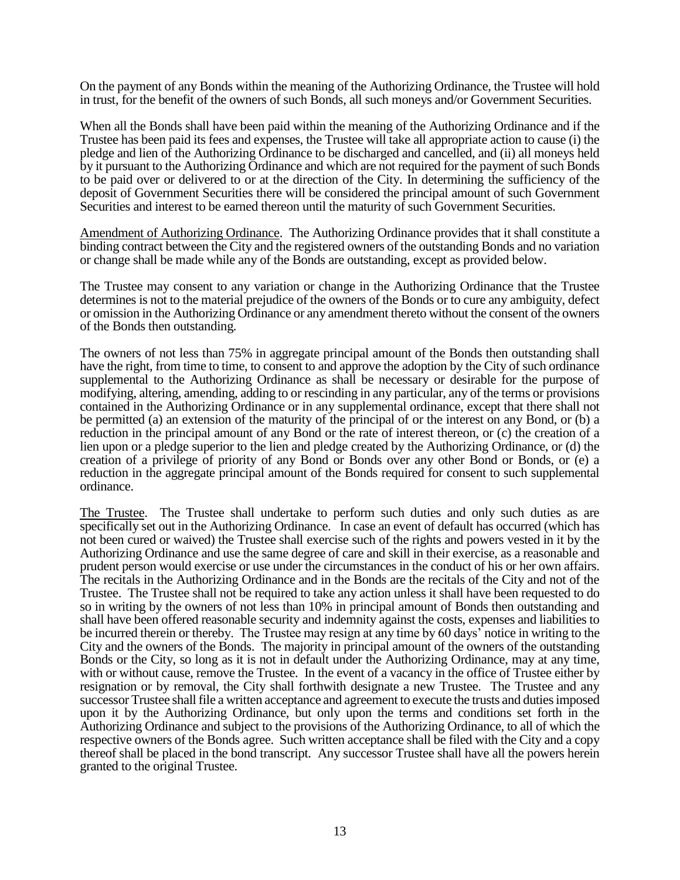On the payment of any Bonds within the meaning of the Authorizing Ordinance, the Trustee will hold in trust, for the benefit of the owners of such Bonds, all such moneys and/or Government Securities.

When all the Bonds shall have been paid within the meaning of the Authorizing Ordinance and if the Trustee has been paid its fees and expenses, the Trustee will take all appropriate action to cause (i) the pledge and lien of the Authorizing Ordinance to be discharged and cancelled, and (ii) all moneys held by it pursuant to the Authorizing Ordinance and which are not required for the payment of such Bonds to be paid over or delivered to or at the direction of the City. In determining the sufficiency of the deposit of Government Securities there will be considered the principal amount of such Government Securities and interest to be earned thereon until the maturity of such Government Securities.

Amendment of Authorizing Ordinance. The Authorizing Ordinance provides that it shall constitute a binding contract between the City and the registered owners of the outstanding Bonds and no variation or change shall be made while any of the Bonds are outstanding, except as provided below.

The Trustee may consent to any variation or change in the Authorizing Ordinance that the Trustee determines is not to the material prejudice of the owners of the Bonds or to cure any ambiguity, defect or omission in the Authorizing Ordinance or any amendment thereto without the consent of the owners of the Bonds then outstanding.

The owners of not less than 75% in aggregate principal amount of the Bonds then outstanding shall have the right, from time to time, to consent to and approve the adoption by the City of such ordinance supplemental to the Authorizing Ordinance as shall be necessary or desirable for the purpose of modifying, altering, amending, adding to or rescinding in any particular, any of the terms or provisions contained in the Authorizing Ordinance or in any supplemental ordinance, except that there shall not be permitted (a) an extension of the maturity of the principal of or the interest on any Bond, or (b) a reduction in the principal amount of any Bond or the rate of interest thereon, or (c) the creation of a lien upon or a pledge superior to the lien and pledge created by the Authorizing Ordinance, or (d) the creation of a privilege of priority of any Bond or Bonds over any other Bond or Bonds, or (e) a reduction in the aggregate principal amount of the Bonds required for consent to such supplemental ordinance.

The Trustee. The Trustee shall undertake to perform such duties and only such duties as are specifically set out in the Authorizing Ordinance. In case an event of default has occurred (which has not been cured or waived) the Trustee shall exercise such of the rights and powers vested in it by the Authorizing Ordinance and use the same degree of care and skill in their exercise, as a reasonable and prudent person would exercise or use under the circumstances in the conduct of his or her own affairs. The recitals in the Authorizing Ordinance and in the Bonds are the recitals of the City and not of the Trustee. The Trustee shall not be required to take any action unless it shall have been requested to do so in writing by the owners of not less than 10% in principal amount of Bonds then outstanding and shall have been offered reasonable security and indemnity against the costs, expenses and liabilities to be incurred therein or thereby. The Trustee may resign at any time by 60 days' notice in writing to the City and the owners of the Bonds. The majority in principal amount of the owners of the outstanding Bonds or the City, so long as it is not in default under the Authorizing Ordinance, may at any time, with or without cause, remove the Trustee. In the event of a vacancy in the office of Trustee either by resignation or by removal, the City shall forthwith designate a new Trustee. The Trustee and any successor Trustee shall file a written acceptance and agreement to execute the trusts and duties imposed upon it by the Authorizing Ordinance, but only upon the terms and conditions set forth in the Authorizing Ordinance and subject to the provisions of the Authorizing Ordinance, to all of which the respective owners of the Bonds agree. Such written acceptance shall be filed with the City and a copy thereof shall be placed in the bond transcript. Any successor Trustee shall have all the powers herein granted to the original Trustee.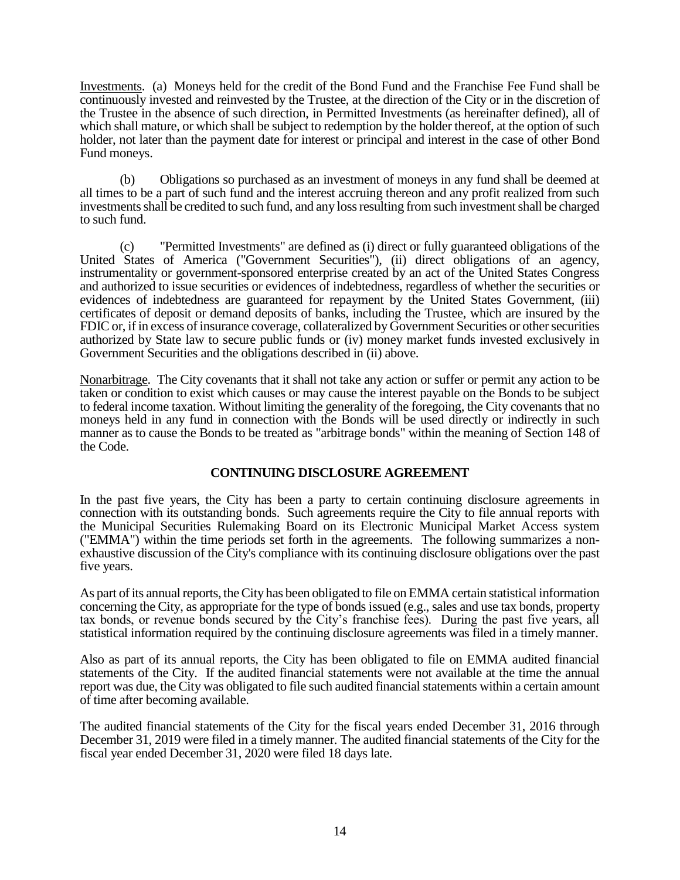Investments. (a) Moneys held for the credit of the Bond Fund and the Franchise Fee Fund shall be continuously invested and reinvested by the Trustee, at the direction of the City or in the discretion of the Trustee in the absence of such direction, in Permitted Investments (as hereinafter defined), all of which shall mature, or which shall be subject to redemption by the holder thereof, at the option of such holder, not later than the payment date for interest or principal and interest in the case of other Bond Fund moneys.

(b) Obligations so purchased as an investment of moneys in any fund shall be deemed at all times to be a part of such fund and the interest accruing thereon and any profit realized from such investments shall be credited to such fund, and any loss resulting from such investment shall be charged to such fund.

(c) "Permitted Investments" are defined as (i) direct or fully guaranteed obligations of the United States of America ("Government Securities"), (ii) direct obligations of an agency, instrumentality or government-sponsored enterprise created by an act of the United States Congress and authorized to issue securities or evidences of indebtedness, regardless of whether the securities or evidences of indebtedness are guaranteed for repayment by the United States Government, (iii) certificates of deposit or demand deposits of banks, including the Trustee, which are insured by the FDIC or, if in excess of insurance coverage, collateralized by Government Securities or other securities authorized by State law to secure public funds or (iv) money market funds invested exclusively in Government Securities and the obligations described in (ii) above.

Nonarbitrage. The City covenants that it shall not take any action or suffer or permit any action to be taken or condition to exist which causes or may cause the interest payable on the Bonds to be subject to federal income taxation. Without limiting the generality of the foregoing, the City covenants that no moneys held in any fund in connection with the Bonds will be used directly or indirectly in such manner as to cause the Bonds to be treated as "arbitrage bonds" within the meaning of Section 148 of the Code.

### **CONTINUING DISCLOSURE AGREEMENT**

In the past five years, the City has been a party to certain continuing disclosure agreements in connection with its outstanding bonds. Such agreements require the City to file annual reports with the Municipal Securities Rulemaking Board on its Electronic Municipal Market Access system ("EMMA") within the time periods set forth in the agreements. The following summarizes a nonexhaustive discussion of the City's compliance with its continuing disclosure obligations over the past five years.

As part of its annual reports, the City has been obligated to file on EMMA certain statistical information concerning the City, as appropriate for the type of bonds issued (e.g., sales and use tax bonds, property tax bonds, or revenue bonds secured by the City's franchise fees). During the past five years, all statistical information required by the continuing disclosure agreements was filed in a timely manner.

Also as part of its annual reports, the City has been obligated to file on EMMA audited financial statements of the City. If the audited financial statements were not available at the time the annual report was due, the City was obligated to file such audited financial statements within a certain amount of time after becoming available.

The audited financial statements of the City for the fiscal years ended December 31, 2016 through December 31, 2019 were filed in a timely manner. The audited financial statements of the City for the fiscal year ended December 31, 2020 were filed 18 days late.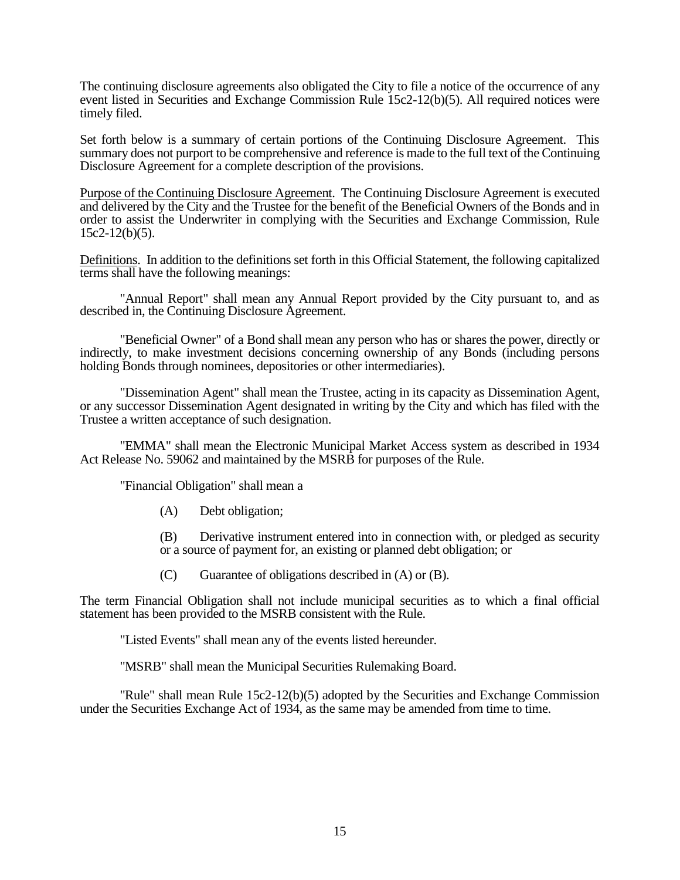The continuing disclosure agreements also obligated the City to file a notice of the occurrence of any event listed in Securities and Exchange Commission Rule 15c2-12(b)(5). All required notices were timely filed.

Set forth below is a summary of certain portions of the Continuing Disclosure Agreement. This summary does not purport to be comprehensive and reference is made to the full text of the Continuing Disclosure Agreement for a complete description of the provisions.

Purpose of the Continuing Disclosure Agreement. The Continuing Disclosure Agreement is executed and delivered by the City and the Trustee for the benefit of the Beneficial Owners of the Bonds and in order to assist the Underwriter in complying with the Securities and Exchange Commission, Rule  $15c2-12(b)(5)$ .

Definitions. In addition to the definitions set forth in this Official Statement, the following capitalized terms shall have the following meanings:

"Annual Report" shall mean any Annual Report provided by the City pursuant to, and as described in, the Continuing Disclosure Agreement.

"Beneficial Owner" of a Bond shall mean any person who has or shares the power, directly or indirectly, to make investment decisions concerning ownership of any Bonds (including persons holding Bonds through nominees, depositories or other intermediaries).

"Dissemination Agent" shall mean the Trustee, acting in its capacity as Dissemination Agent, or any successor Dissemination Agent designated in writing by the City and which has filed with the Trustee a written acceptance of such designation.

"EMMA" shall mean the Electronic Municipal Market Access system as described in 1934 Act Release No. 59062 and maintained by the MSRB for purposes of the Rule.

"Financial Obligation" shall mean a

(A) Debt obligation;

(B) Derivative instrument entered into in connection with, or pledged as security or a source of payment for, an existing or planned debt obligation; or

 $(C)$  Guarantee of obligations described in  $(A)$  or  $(B)$ .

The term Financial Obligation shall not include municipal securities as to which a final official statement has been provided to the MSRB consistent with the Rule.

"Listed Events" shall mean any of the events listed hereunder.

"MSRB" shall mean the Municipal Securities Rulemaking Board.

"Rule" shall mean Rule 15c2-12(b)(5) adopted by the Securities and Exchange Commission under the Securities Exchange Act of 1934, as the same may be amended from time to time.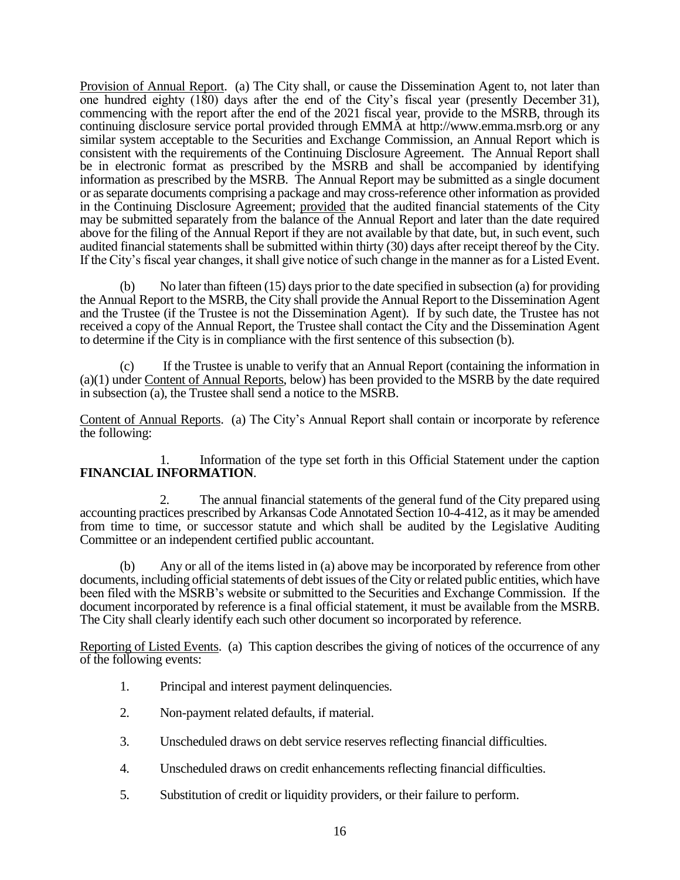Provision of Annual Report. (a) The City shall, or cause the Dissemination Agent to, not later than one hundred eighty (180) days after the end of the City's fiscal year (presently December 31), commencing with the report after the end of the 2021 fiscal year, provide to the MSRB, through its continuing disclosure service portal provided through EMMA at http://www.emma.msrb.org or any similar system acceptable to the Securities and Exchange Commission, an Annual Report which is consistent with the requirements of the Continuing Disclosure Agreement. The Annual Report shall be in electronic format as prescribed by the MSRB and shall be accompanied by identifying information as prescribed by the MSRB. The Annual Report may be submitted as a single document or as separate documents comprising a package and may cross-reference other information as provided in the Continuing Disclosure Agreement; provided that the audited financial statements of the City may be submitted separately from the balance of the Annual Report and later than the date required above for the filing of the Annual Report if they are not available by that date, but, in such event, such audited financial statements shall be submitted within thirty (30) days after receipt thereof by the City. If the City's fiscal year changes, it shall give notice of such change in the manner as for a Listed Event.

(b) No later than fifteen (15) days prior to the date specified in subsection (a) for providing the Annual Report to the MSRB, the City shall provide the Annual Report to the Dissemination Agent and the Trustee (if the Trustee is not the Dissemination Agent). If by such date, the Trustee has not received a copy of the Annual Report, the Trustee shall contact the City and the Dissemination Agent to determine if the City is in compliance with the first sentence of this subsection (b).

(c) If the Trustee is unable to verify that an Annual Report (containing the information in (a)(1) under Content of Annual Reports, below) has been provided to the MSRB by the date required in subsection (a), the Trustee shall send a notice to the MSRB.

Content of Annual Reports. (a) The City's Annual Report shall contain or incorporate by reference the following:

1. Information of the type set forth in this Official Statement under the caption **FINANCIAL INFORMATION**.

2. The annual financial statements of the general fund of the City prepared using accounting practices prescribed by Arkansas Code Annotated Section 10-4-412, as it may be amended from time to time, or successor statute and which shall be audited by the Legislative Auditing Committee or an independent certified public accountant.

(b) Any or all of the items listed in (a) above may be incorporated by reference from other documents, including official statements of debt issues of the City or related public entities, which have been filed with the MSRB's website or submitted to the Securities and Exchange Commission. If the document incorporated by reference is a final official statement, it must be available from the MSRB. The City shall clearly identify each such other document so incorporated by reference.

Reporting of Listed Events. (a) This caption describes the giving of notices of the occurrence of any of the following events:

- 1. Principal and interest payment delinquencies.
- 2. Non-payment related defaults, if material.
- 3. Unscheduled draws on debt service reserves reflecting financial difficulties.
- 4. Unscheduled draws on credit enhancements reflecting financial difficulties.
- 5. Substitution of credit or liquidity providers, or their failure to perform.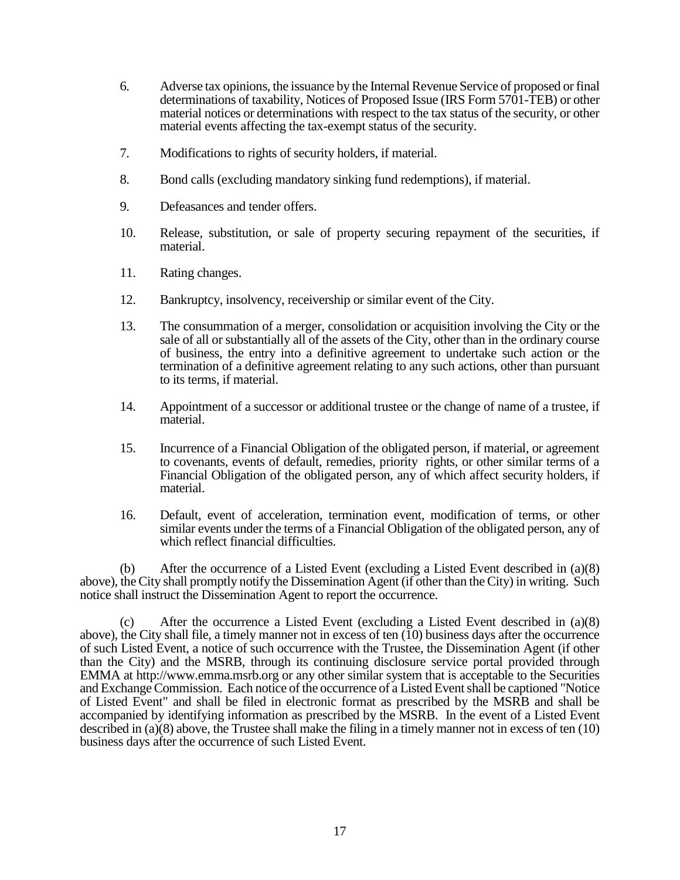- 6. Adverse tax opinions, the issuance by the Internal Revenue Service of proposed or final determinations of taxability, Notices of Proposed Issue (IRS Form 5701-TEB) or other material notices or determinations with respect to the tax status of the security, or other material events affecting the tax-exempt status of the security.
- 7. Modifications to rights of security holders, if material.
- 8. Bond calls (excluding mandatory sinking fund redemptions), if material.
- 9. Defeasances and tender offers.
- 10. Release, substitution, or sale of property securing repayment of the securities, if material.
- 11. Rating changes.
- 12. Bankruptcy, insolvency, receivership or similar event of the City.
- 13. The consummation of a merger, consolidation or acquisition involving the City or the sale of all or substantially all of the assets of the City, other than in the ordinary course of business, the entry into a definitive agreement to undertake such action or the termination of a definitive agreement relating to any such actions, other than pursuant to its terms, if material.
- 14. Appointment of a successor or additional trustee or the change of name of a trustee, if material.
- 15. Incurrence of a Financial Obligation of the obligated person, if material, or agreement to covenants, events of default, remedies, priority rights, or other similar terms of a Financial Obligation of the obligated person, any of which affect security holders, if material.
- 16. Default, event of acceleration, termination event, modification of terms, or other similar events under the terms of a Financial Obligation of the obligated person, any of which reflect financial difficulties.

(b) After the occurrence of a Listed Event (excluding a Listed Event described in (a)(8) above), the City shall promptly notify the Dissemination Agent (if other than the City) in writing. Such notice shall instruct the Dissemination Agent to report the occurrence.

(c) After the occurrence a Listed Event (excluding a Listed Event described in (a)(8) above), the City shall file, a timely manner not in excess of ten  $(10)$  business days after the occurrence of such Listed Event, a notice of such occurrence with the Trustee, the Dissemination Agent (if other than the City) and the MSRB, through its continuing disclosure service portal provided through EMMA at http://www.emma.msrb.org or any other similar system that is acceptable to the Securities and Exchange Commission. Each notice of the occurrence of a Listed Event shall be captioned "Notice of Listed Event" and shall be filed in electronic format as prescribed by the MSRB and shall be accompanied by identifying information as prescribed by the MSRB. In the event of a Listed Event described in (a)(8) above, the Trustee shall make the filing in a timely manner not in excess of ten (10) business days after the occurrence of such Listed Event.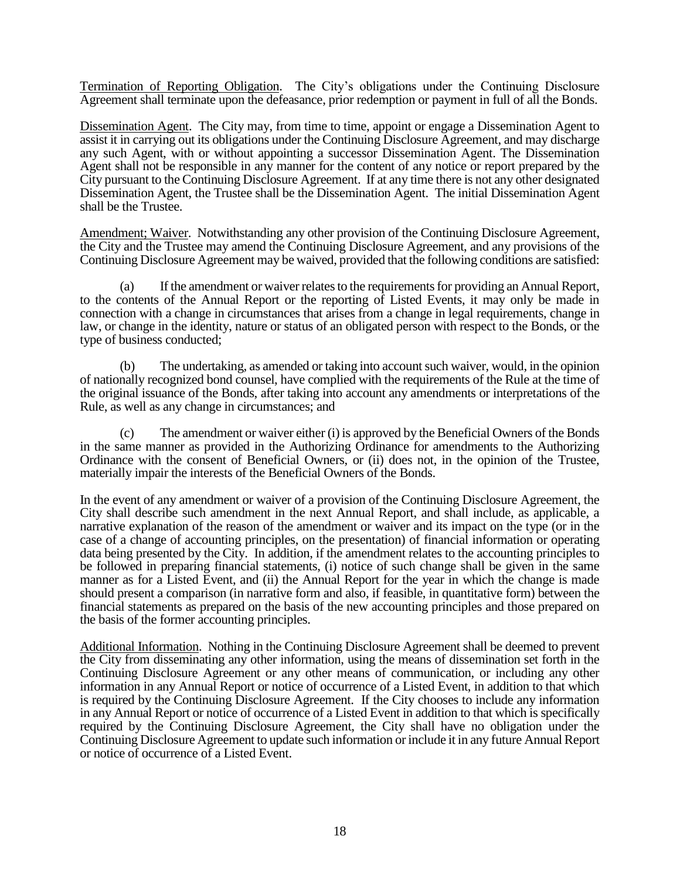Termination of Reporting Obligation. The City's obligations under the Continuing Disclosure Agreement shall terminate upon the defeasance, prior redemption or payment in full of all the Bonds.

Dissemination Agent. The City may, from time to time, appoint or engage a Dissemination Agent to assist it in carrying out its obligations under the Continuing Disclosure Agreement, and may discharge any such Agent, with or without appointing a successor Dissemination Agent. The Dissemination Agent shall not be responsible in any manner for the content of any notice or report prepared by the City pursuant to the Continuing Disclosure Agreement. If at any time there is not any other designated Dissemination Agent, the Trustee shall be the Dissemination Agent. The initial Dissemination Agent shall be the Trustee.

Amendment; Waiver. Notwithstanding any other provision of the Continuing Disclosure Agreement, the City and the Trustee may amend the Continuing Disclosure Agreement, and any provisions of the Continuing Disclosure Agreement may be waived, provided that the following conditions are satisfied:

(a) If the amendment or waiver relates to the requirements for providing an Annual Report, to the contents of the Annual Report or the reporting of Listed Events, it may only be made in connection with a change in circumstances that arises from a change in legal requirements, change in law, or change in the identity, nature or status of an obligated person with respect to the Bonds, or the type of business conducted;

(b) The undertaking, as amended or taking into account such waiver, would, in the opinion of nationally recognized bond counsel, have complied with the requirements of the Rule at the time of the original issuance of the Bonds, after taking into account any amendments or interpretations of the Rule, as well as any change in circumstances; and

(c) The amendment or waiver either (i) is approved by the Beneficial Owners of the Bonds in the same manner as provided in the Authorizing Ordinance for amendments to the Authorizing Ordinance with the consent of Beneficial Owners, or (ii) does not, in the opinion of the Trustee, materially impair the interests of the Beneficial Owners of the Bonds.

In the event of any amendment or waiver of a provision of the Continuing Disclosure Agreement, the City shall describe such amendment in the next Annual Report, and shall include, as applicable, a narrative explanation of the reason of the amendment or waiver and its impact on the type (or in the case of a change of accounting principles, on the presentation) of financial information or operating data being presented by the City. In addition, if the amendment relates to the accounting principles to be followed in preparing financial statements, (i) notice of such change shall be given in the same manner as for a Listed Event, and (ii) the Annual Report for the year in which the change is made should present a comparison (in narrative form and also, if feasible, in quantitative form) between the financial statements as prepared on the basis of the new accounting principles and those prepared on the basis of the former accounting principles.

Additional Information. Nothing in the Continuing Disclosure Agreement shall be deemed to prevent the City from disseminating any other information, using the means of dissemination set forth in the Continuing Disclosure Agreement or any other means of communication, or including any other information in any Annual Report or notice of occurrence of a Listed Event, in addition to that which is required by the Continuing Disclosure Agreement. If the City chooses to include any information in any Annual Report or notice of occurrence of a Listed Event in addition to that which is specifically required by the Continuing Disclosure Agreement, the City shall have no obligation under the Continuing Disclosure Agreement to update such information or include it in any future Annual Report or notice of occurrence of a Listed Event.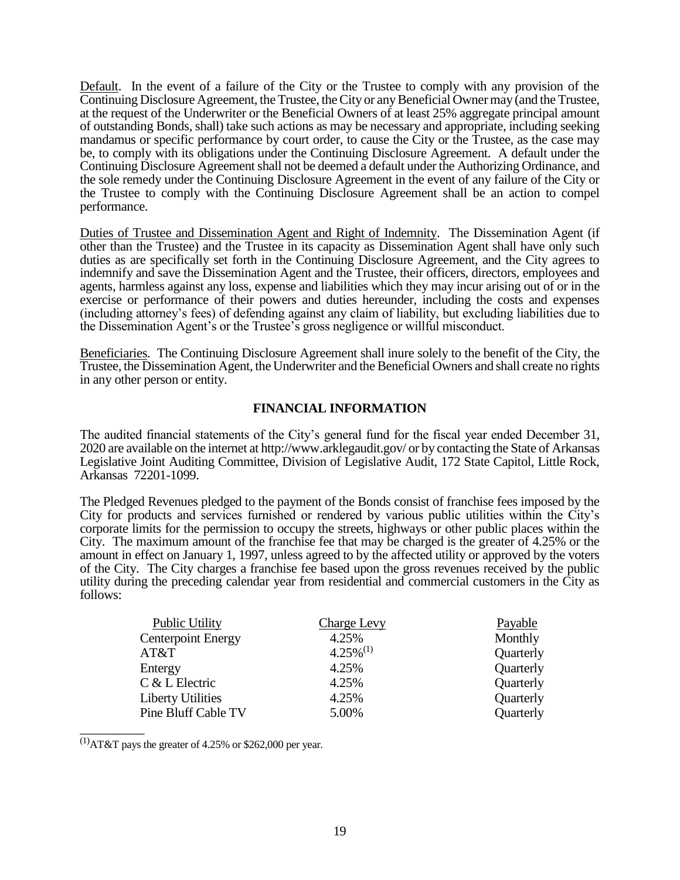Default. In the event of a failure of the City or the Trustee to comply with any provision of the Continuing Disclosure Agreement, the Trustee, the City or any Beneficial Owner may (and the Trustee, at the request of the Underwriter or the Beneficial Owners of at least 25% aggregate principal amount of outstanding Bonds, shall) take such actions as may be necessary and appropriate, including seeking mandamus or specific performance by court order, to cause the City or the Trustee, as the case may be, to comply with its obligations under the Continuing Disclosure Agreement. A default under the Continuing Disclosure Agreement shall not be deemed a default under the Authorizing Ordinance, and the sole remedy under the Continuing Disclosure Agreement in the event of any failure of the City or the Trustee to comply with the Continuing Disclosure Agreement shall be an action to compel performance.

Duties of Trustee and Dissemination Agent and Right of Indemnity. The Dissemination Agent (if other than the Trustee) and the Trustee in its capacity as Dissemination Agent shall have only such duties as are specifically set forth in the Continuing Disclosure Agreement, and the City agrees to indemnify and save the Dissemination Agent and the Trustee, their officers, directors, employees and agents, harmless against any loss, expense and liabilities which they may incur arising out of or in the exercise or performance of their powers and duties hereunder, including the costs and expenses (including attorney's fees) of defending against any claim of liability, but excluding liabilities due to the Dissemination Agent's or the Trustee's gross negligence or willful misconduct.

Beneficiaries. The Continuing Disclosure Agreement shall inure solely to the benefit of the City, the Trustee, the Dissemination Agent, the Underwriter and the Beneficial Owners and shall create no rights in any other person or entity.

#### **FINANCIAL INFORMATION**

The audited financial statements of the City's general fund for the fiscal year ended December 31, 2020 are available on the internet at http://www.arklegaudit.gov/ or by contacting the State of Arkansas Legislative Joint Auditing Committee, Division of Legislative Audit, 172 State Capitol, Little Rock, Arkansas 72201-1099.

The Pledged Revenues pledged to the payment of the Bonds consist of franchise fees imposed by the City for products and services furnished or rendered by various public utilities within the City's corporate limits for the permission to occupy the streets, highways or other public places within the City. The maximum amount of the franchise fee that may be charged is the greater of 4.25% or the amount in effect on January 1, 1997, unless agreed to by the affected utility or approved by the voters of the City. The City charges a franchise fee based upon the gross revenues received by the public utility during the preceding calendar year from residential and commercial customers in the City as follows:

| <b>Public Utility</b>     | <b>Charge Levy</b> | Payable   |
|---------------------------|--------------------|-----------|
| <b>Centerpoint Energy</b> | 4.25%              | Monthly   |
| AT&T                      | $4.25\%^{(1)}$     | Quarterly |
| Entergy                   | 4.25%              | Quarterly |
| C & L Electric            | 4.25%              | Quarterly |
| <b>Liberty Utilities</b>  | 4.25%              | Quarterly |
| Pine Bluff Cable TV       | 5.00%              | Quarterly |
|                           |                    |           |

 $^{(1)}$ AT&T pays the greater of 4.25% or \$262,000 per year.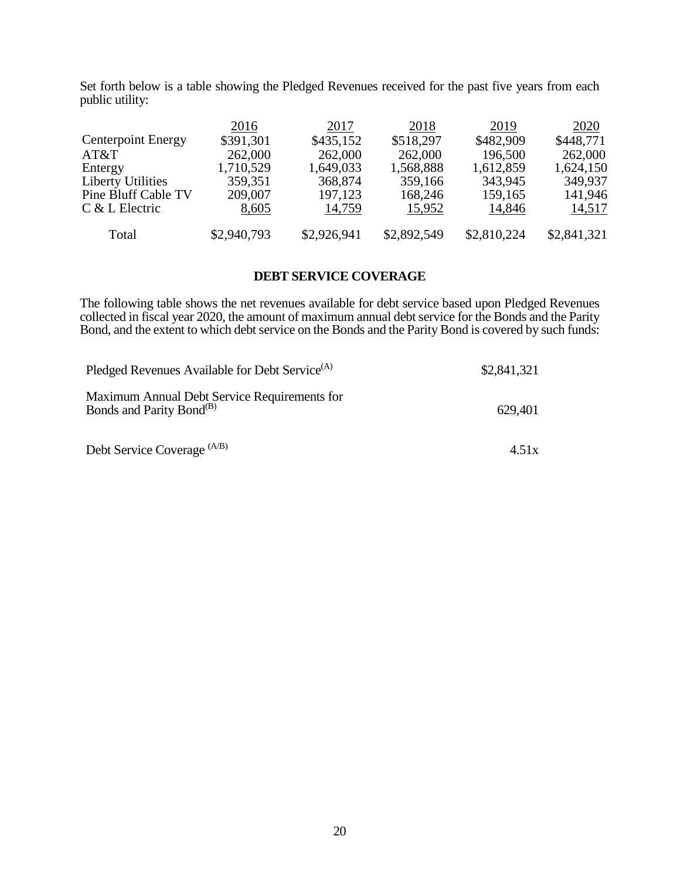Set forth below is a table showing the Pledged Revenues received for the past five years from each public utility:

|                           | 2016        | 2017        | 2018        | 2019        | 2020        |
|---------------------------|-------------|-------------|-------------|-------------|-------------|
| <b>Centerpoint Energy</b> | \$391,301   | \$435,152   | \$518,297   | \$482,909   | \$448,771   |
| AT&T                      | 262,000     | 262,000     | 262,000     | 196,500     | 262,000     |
| Entergy                   | 1,710,529   | 1,649,033   | 1,568,888   | 1,612,859   | 1,624,150   |
| <b>Liberty Utilities</b>  | 359,351     | 368,874     | 359,166     | 343,945     | 349,937     |
| Pine Bluff Cable TV       | 209,007     | 197,123     | 168,246     | 159,165     | 141,946     |
| $C & L$ Electric          | 8,605       | 14,759      | 15,952      | 14,846      | 14,517      |
| Total                     | \$2,940,793 | \$2,926,941 | \$2,892,549 | \$2,810,224 | \$2,841,321 |

#### **DEBT SERVICE COVERAGE**

The following table shows the net revenues available for debt service based upon Pledged Revenues collected in fiscal year 2020, the amount of maximum annual debt service for the Bonds and the Parity Bond, and the extent to which debt service on the Bonds and the Parity Bond is covered by such funds:

| Pledged Revenues Available for Debt Service <sup>(A)</sup>                           | \$2,841,321 |
|--------------------------------------------------------------------------------------|-------------|
| Maximum Annual Debt Service Requirements for<br>Bonds and Parity Bond <sup>(B)</sup> | 629,401     |
| Debt Service Coverage (A/B)                                                          | 4.51x       |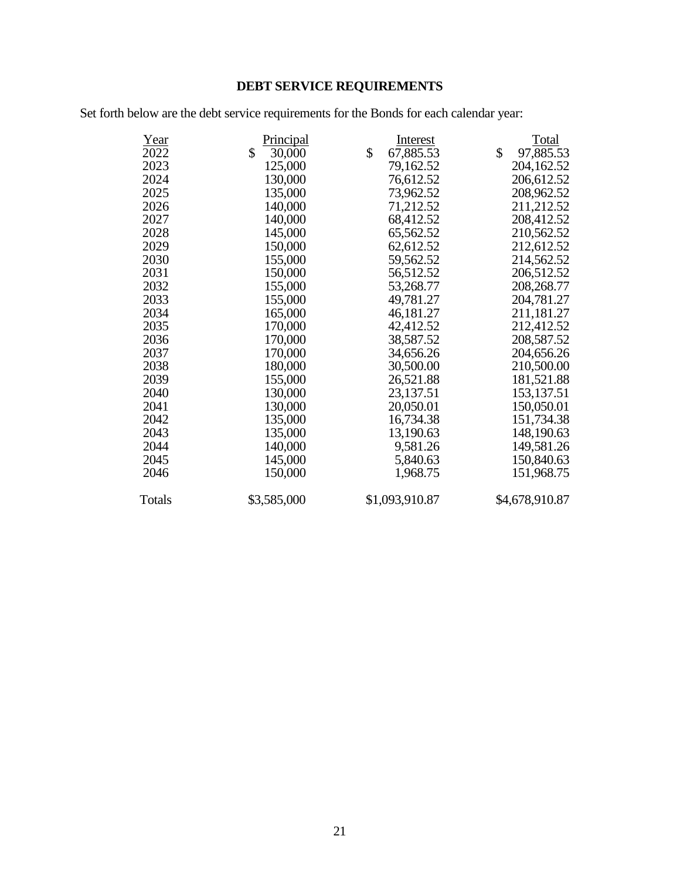# **DEBT SERVICE REQUIREMENTS**

Set forth below are the debt service requirements for the Bonds for each calendar year:

| Year   | Principal    | Interest        | Total           |
|--------|--------------|-----------------|-----------------|
| 2022   | \$<br>30,000 | \$<br>67,885.53 | \$<br>97,885.53 |
| 2023   | 125,000      | 79,162.52       | 204,162.52      |
| 2024   | 130,000      | 76,612.52       | 206,612.52      |
| 2025   | 135,000      | 73,962.52       | 208,962.52      |
| 2026   | 140,000      | 71,212.52       | 211,212.52      |
| 2027   | 140,000      | 68,412.52       | 208,412.52      |
| 2028   | 145,000      | 65,562.52       | 210,562.52      |
| 2029   | 150,000      | 62,612.52       | 212,612.52      |
| 2030   | 155,000      | 59,562.52       | 214,562.52      |
| 2031   | 150,000      | 56,512.52       | 206,512.52      |
| 2032   | 155,000      | 53,268.77       | 208,268.77      |
| 2033   | 155,000      | 49,781.27       | 204,781.27      |
| 2034   | 165,000      | 46,181.27       | 211,181.27      |
| 2035   | 170,000      | 42,412.52       | 212,412.52      |
| 2036   | 170,000      | 38,587.52       | 208,587.52      |
| 2037   | 170,000      | 34,656.26       | 204,656.26      |
| 2038   | 180,000      | 30,500.00       | 210,500.00      |
| 2039   | 155,000      | 26,521.88       | 181,521.88      |
| 2040   | 130,000      | 23,137.51       | 153,137.51      |
| 2041   | 130,000      | 20,050.01       | 150,050.01      |
| 2042   | 135,000      | 16,734.38       | 151,734.38      |
| 2043   | 135,000      | 13,190.63       | 148,190.63      |
| 2044   | 140,000      | 9,581.26        | 149,581.26      |
| 2045   | 145,000      | 5,840.63        | 150,840.63      |
| 2046   | 150,000      | 1,968.75        | 151,968.75      |
| Totals | \$3,585,000  | \$1,093,910.87  | \$4,678,910.87  |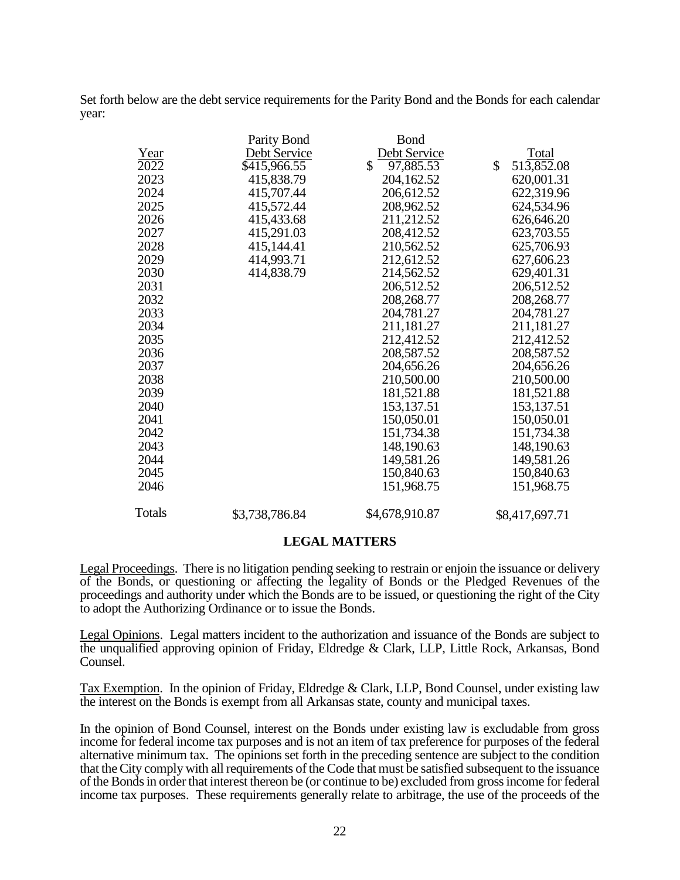Set forth below are the debt service requirements for the Parity Bond and the Bonds for each calendar year:

|               | Parity Bond    | <b>Bond</b>     |                  |
|---------------|----------------|-----------------|------------------|
| Year          | Debt Service   | Debt Service    | <b>Total</b>     |
| 2022          | \$415,966.55   | \$<br>97,885.53 | \$<br>513,852.08 |
| 2023          | 415,838.79     | 204,162.52      | 620,001.31       |
| 2024          | 415,707.44     | 206,612.52      | 622,319.96       |
| 2025          | 415,572.44     | 208,962.52      | 624,534.96       |
| 2026          | 415,433.68     | 211,212.52      | 626,646.20       |
| 2027          | 415,291.03     | 208,412.52      | 623,703.55       |
| 2028          | 415,144.41     | 210,562.52      | 625,706.93       |
| 2029          | 414,993.71     | 212,612.52      | 627,606.23       |
| 2030          | 414,838.79     | 214,562.52      | 629,401.31       |
| 2031          |                | 206,512.52      | 206,512.52       |
| 2032          |                | 208,268.77      | 208,268.77       |
| 2033          |                | 204,781.27      | 204,781.27       |
| 2034          |                | 211,181.27      | 211,181.27       |
| 2035          |                | 212,412.52      | 212,412.52       |
| 2036          |                | 208,587.52      | 208,587.52       |
| 2037          |                | 204,656.26      | 204,656.26       |
| 2038          |                | 210,500.00      | 210,500.00       |
| 2039          |                | 181,521.88      | 181,521.88       |
| 2040          |                | 153, 137.51     | 153, 137.51      |
| 2041          |                | 150,050.01      | 150,050.01       |
| 2042          |                | 151,734.38      | 151,734.38       |
| 2043          |                | 148,190.63      | 148,190.63       |
| 2044          |                | 149,581.26      | 149,581.26       |
| 2045          |                | 150,840.63      | 150,840.63       |
| 2046          |                | 151,968.75      | 151,968.75       |
| <b>Totals</b> | \$3,738,786.84 | \$4,678,910.87  | \$8,417,697.71   |

#### **LEGAL MATTERS**

Legal Proceedings. There is no litigation pending seeking to restrain or enjoin the issuance or delivery of the Bonds, or questioning or affecting the legality of Bonds or the Pledged Revenues of the proceedings and authority under which the Bonds are to be issued, or questioning the right of the City to adopt the Authorizing Ordinance or to issue the Bonds.

Legal Opinions. Legal matters incident to the authorization and issuance of the Bonds are subject to the unqualified approving opinion of Friday, Eldredge & Clark, LLP, Little Rock, Arkansas, Bond Counsel.

Tax Exemption. In the opinion of Friday, Eldredge & Clark, LLP, Bond Counsel, under existing law the interest on the Bonds is exempt from all Arkansas state, county and municipal taxes.

In the opinion of Bond Counsel, interest on the Bonds under existing law is excludable from gross income for federal income tax purposes and is not an item of tax preference for purposes of the federal alternative minimum tax. The opinions set forth in the preceding sentence are subject to the condition that the City comply with all requirements of the Code that must be satisfied subsequent to the issuance of the Bonds in order that interest thereon be (or continue to be) excluded from gross income for federal income tax purposes. These requirements generally relate to arbitrage, the use of the proceeds of the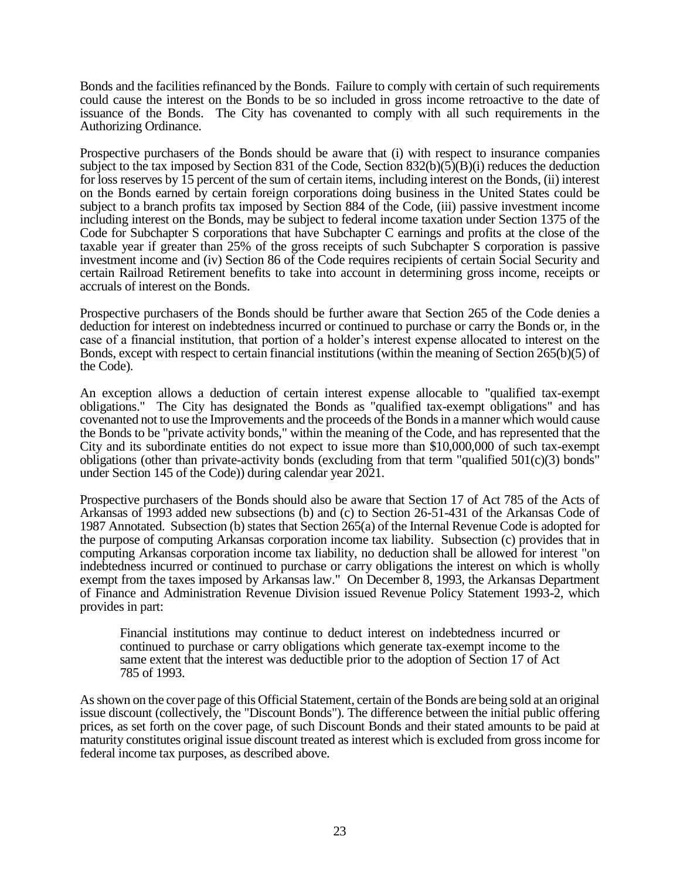Bonds and the facilities refinanced by the Bonds. Failure to comply with certain of such requirements could cause the interest on the Bonds to be so included in gross income retroactive to the date of issuance of the Bonds. The City has covenanted to comply with all such requirements in the Authorizing Ordinance.

Prospective purchasers of the Bonds should be aware that (i) with respect to insurance companies subject to the tax imposed by Section 831 of the Code, Section 832(b)(5)(B)(i) reduces the deduction for loss reserves by 15 percent of the sum of certain items, including interest on the Bonds, (ii) interest on the Bonds earned by certain foreign corporations doing business in the United States could be subject to a branch profits tax imposed by Section 884 of the Code, (iii) passive investment income including interest on the Bonds, may be subject to federal income taxation under Section 1375 of the Code for Subchapter S corporations that have Subchapter C earnings and profits at the close of the taxable year if greater than 25% of the gross receipts of such Subchapter S corporation is passive investment income and (iv) Section 86 of the Code requires recipients of certain Social Security and certain Railroad Retirement benefits to take into account in determining gross income, receipts or accruals of interest on the Bonds.

Prospective purchasers of the Bonds should be further aware that Section 265 of the Code denies a deduction for interest on indebtedness incurred or continued to purchase or carry the Bonds or, in the case of a financial institution, that portion of a holder's interest expense allocated to interest on the Bonds, except with respect to certain financial institutions (within the meaning of Section 265(b)(5) of the Code).

An exception allows a deduction of certain interest expense allocable to "qualified tax-exempt obligations." The City has designated the Bonds as "qualified tax-exempt obligations" and has covenanted not to use the Improvements and the proceeds of the Bonds in a manner which would cause the Bonds to be "private activity bonds," within the meaning of the Code, and has represented that the City and its subordinate entities do not expect to issue more than \$10,000,000 of such tax-exempt obligations (other than private-activity bonds (excluding from that term "qualified  $501(c)(3)$  bonds" under Section 145 of the Code)) during calendar year 2021.

Prospective purchasers of the Bonds should also be aware that Section 17 of Act 785 of the Acts of Arkansas of 1993 added new subsections (b) and (c) to Section 26-51-431 of the Arkansas Code of 1987 Annotated. Subsection (b) states that Section 265(a) of the Internal Revenue Code is adopted for the purpose of computing Arkansas corporation income tax liability. Subsection (c) provides that in computing Arkansas corporation income tax liability, no deduction shall be allowed for interest "on indebtedness incurred or continued to purchase or carry obligations the interest on which is wholly exempt from the taxes imposed by Arkansas law." On December 8, 1993, the Arkansas Department of Finance and Administration Revenue Division issued Revenue Policy Statement 1993-2, which provides in part:

Financial institutions may continue to deduct interest on indebtedness incurred or continued to purchase or carry obligations which generate tax-exempt income to the same extent that the interest was deductible prior to the adoption of Section 17 of Act 785 of 1993.

As shown on the cover page of this Official Statement, certain of the Bonds are being sold at an original issue discount (collectively, the "Discount Bonds"). The difference between the initial public offering prices, as set forth on the cover page, of such Discount Bonds and their stated amounts to be paid at maturity constitutes original issue discount treated as interest which is excluded from gross income for federal income tax purposes, as described above.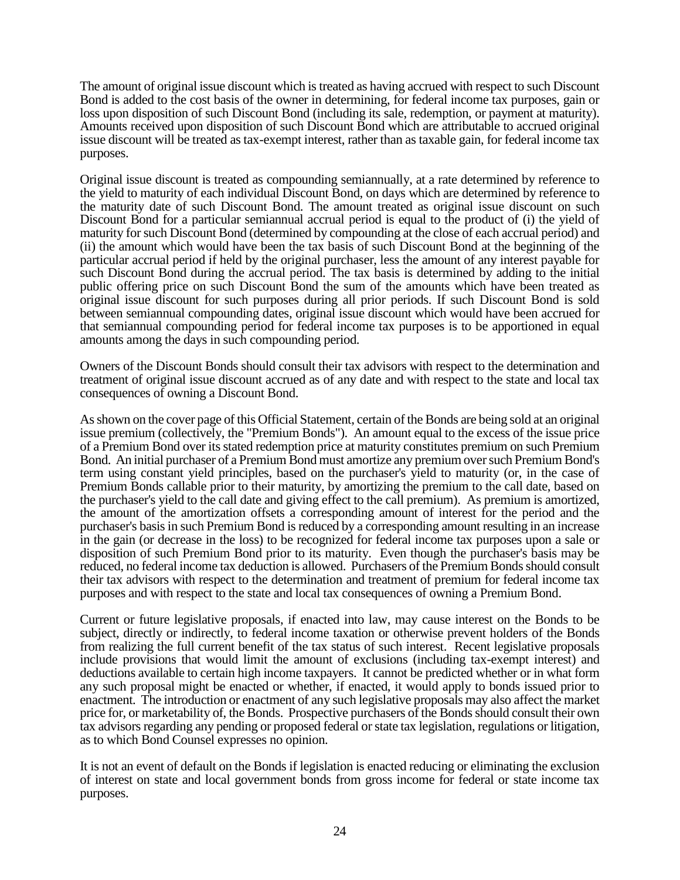The amount of original issue discount which is treated as having accrued with respect to such Discount Bond is added to the cost basis of the owner in determining, for federal income tax purposes, gain or loss upon disposition of such Discount Bond (including its sale, redemption, or payment at maturity). Amounts received upon disposition of such Discount Bond which are attributable to accrued original issue discount will be treated as tax-exempt interest, rather than as taxable gain, for federal income tax purposes.

Original issue discount is treated as compounding semiannually, at a rate determined by reference to the yield to maturity of each individual Discount Bond, on days which are determined by reference to the maturity date of such Discount Bond. The amount treated as original issue discount on such Discount Bond for a particular semiannual accrual period is equal to the product of (i) the yield of maturity for such Discount Bond (determined by compounding at the close of each accrual period) and (ii) the amount which would have been the tax basis of such Discount Bond at the beginning of the particular accrual period if held by the original purchaser, less the amount of any interest payable for such Discount Bond during the accrual period. The tax basis is determined by adding to the initial public offering price on such Discount Bond the sum of the amounts which have been treated as original issue discount for such purposes during all prior periods. If such Discount Bond is sold between semiannual compounding dates, original issue discount which would have been accrued for that semiannual compounding period for federal income tax purposes is to be apportioned in equal amounts among the days in such compounding period.

Owners of the Discount Bonds should consult their tax advisors with respect to the determination and treatment of original issue discount accrued as of any date and with respect to the state and local tax consequences of owning a Discount Bond.

As shown on the cover page of this Official Statement, certain of the Bonds are being sold at an original issue premium (collectively, the "Premium Bonds"). An amount equal to the excess of the issue price of a Premium Bond over its stated redemption price at maturity constitutes premium on such Premium Bond. An initial purchaser of a Premium Bond must amortize any premium over such Premium Bond's term using constant yield principles, based on the purchaser's yield to maturity (or, in the case of Premium Bonds callable prior to their maturity, by amortizing the premium to the call date, based on the purchaser's yield to the call date and giving effect to the call premium). As premium is amortized, the amount of the amortization offsets a corresponding amount of interest for the period and the purchaser's basis in such Premium Bond is reduced by a corresponding amount resulting in an increase in the gain (or decrease in the loss) to be recognized for federal income tax purposes upon a sale or disposition of such Premium Bond prior to its maturity. Even though the purchaser's basis may be reduced, no federal income tax deduction is allowed. Purchasers of the Premium Bonds should consult their tax advisors with respect to the determination and treatment of premium for federal income tax purposes and with respect to the state and local tax consequences of owning a Premium Bond.

Current or future legislative proposals, if enacted into law, may cause interest on the Bonds to be subject, directly or indirectly, to federal income taxation or otherwise prevent holders of the Bonds from realizing the full current benefit of the tax status of such interest. Recent legislative proposals include provisions that would limit the amount of exclusions (including tax-exempt interest) and deductions available to certain high income taxpayers. It cannot be predicted whether or in what form any such proposal might be enacted or whether, if enacted, it would apply to bonds issued prior to enactment. The introduction or enactment of any such legislative proposals may also affect the market price for, or marketability of, the Bonds. Prospective purchasers of the Bonds should consult their own tax advisors regarding any pending or proposed federal or state tax legislation, regulations or litigation, as to which Bond Counsel expresses no opinion.

It is not an event of default on the Bonds if legislation is enacted reducing or eliminating the exclusion of interest on state and local government bonds from gross income for federal or state income tax purposes.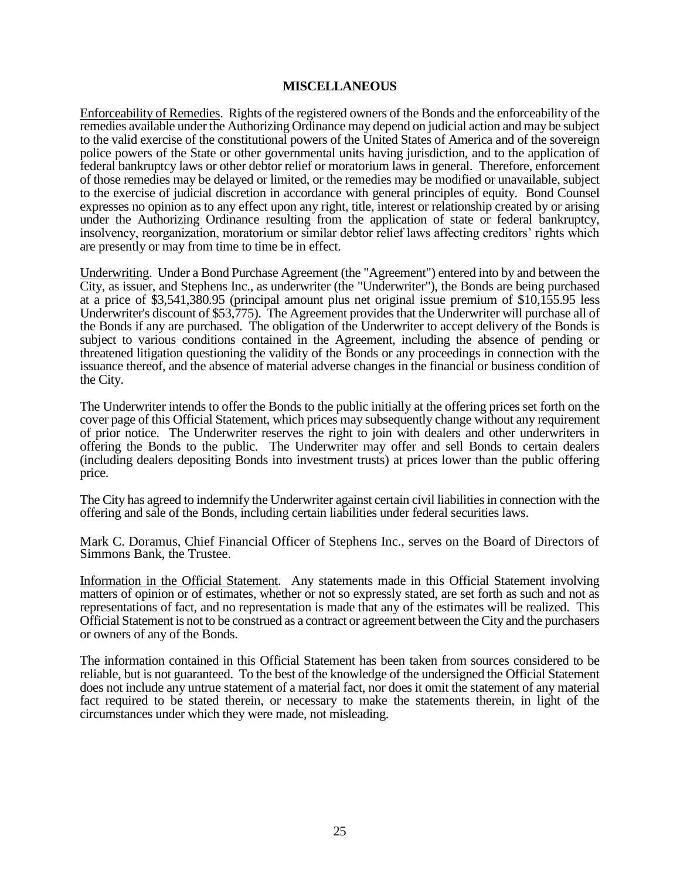#### **MISCELLANEOUS**

Enforceability of Remedies. Rights of the registered owners of the Bonds and the enforceability of the remedies available under the Authorizing Ordinance may depend on judicial action and may be subject to the valid exercise of the constitutional powers of the United States of America and of the sovereign police powers of the State or other governmental units having jurisdiction, and to the application of federal bankruptcy laws or other debtor relief or moratorium laws in general. Therefore, enforcement of those remedies may be delayed or limited, or the remedies may be modified or unavailable, subject to the exercise of judicial discretion in accordance with general principles of equity. Bond Counsel expresses no opinion as to any effect upon any right, title, interest or relationship created by or arising under the Authorizing Ordinance resulting from the application of state or federal bankruptcy, insolvency, reorganization, moratorium or similar debtor relief laws affecting creditors' rights which are presently or may from time to time be in effect.

Underwriting. Under a Bond Purchase Agreement (the "Agreement") entered into by and between the City, as issuer, and Stephens Inc., as underwriter (the "Underwriter"), the Bonds are being purchased at a price of \$3,541,380.95 (principal amount plus net original issue premium of \$10,155.95 less Underwriter's discount of \$53,775). The Agreement provides that the Underwriter will purchase all of the Bonds if any are purchased. The obligation of the Underwriter to accept delivery of the Bonds is subject to various conditions contained in the Agreement, including the absence of pending or threatened litigation questioning the validity of the Bonds or any proceedings in connection with the issuance thereof, and the absence of material adverse changes in the financial or business condition of the City.

The Underwriter intends to offer the Bonds to the public initially at the offering prices set forth on the cover page of this Official Statement, which prices may subsequently change without any requirement of prior notice. The Underwriter reserves the right to join with dealers and other underwriters in offering the Bonds to the public. The Underwriter may offer and sell Bonds to certain dealers (including dealers depositing Bonds into investment trusts) at prices lower than the public offering price.

The City has agreed to indemnify the Underwriter against certain civil liabilities in connection with the offering and sale of the Bonds, including certain liabilities under federal securities laws.

Mark C. Doramus, Chief Financial Officer of Stephens Inc., serves on the Board of Directors of Simmons Bank, the Trustee.

Information in the Official Statement. Any statements made in this Official Statement involving matters of opinion or of estimates, whether or not so expressly stated, are set forth as such and not as representations of fact, and no representation is made that any of the estimates will be realized. This Official Statement is not to be construed as a contract or agreement between the City and the purchasers or owners of any of the Bonds.

The information contained in this Official Statement has been taken from sources considered to be reliable, but is not guaranteed. To the best of the knowledge of the undersigned the Official Statement does not include any untrue statement of a material fact, nor does it omit the statement of any material fact required to be stated therein, or necessary to make the statements therein, in light of the circumstances under which they were made, not misleading.